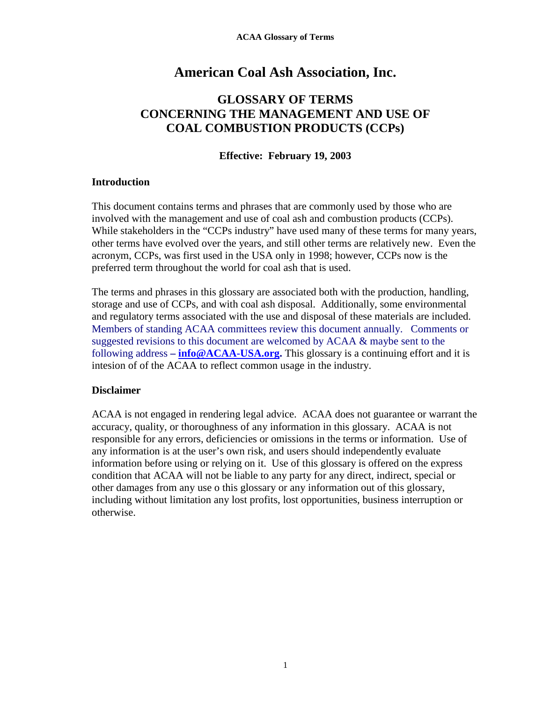# **American Coal Ash Association, Inc.**

## **GLOSSARY OF TERMS CONCERNING THE MANAGEMENT AND USE OF COAL COMBUSTION PRODUCTS (CCPs)**

### **Effective: February 19, 2003**

### **Introduction**

This document contains terms and phrases that are commonly used by those who are involved with the management and use of coal ash and combustion products (CCPs). While stakeholders in the "CCPs industry" have used many of these terms for many years, other terms have evolved over the years, and still other terms are relatively new. Even the acronym, CCPs, was first used in the USA only in 1998; however, CCPs now is the preferred term throughout the world for coal ash that is used.

The terms and phrases in this glossary are associated both with the production, handling, storage and use of CCPs, and with coal ash disposal. Additionally, some environmental and regulatory terms associated with the use and disposal of these materials are included. Members of standing ACAA committees review this document annually. Comments or suggested revisions to this document are welcomed by ACAA & maybe sent to the following address **– [info@ACAA-USA.org](mailto:info@ACAA-USA.org).** This glossary is a continuing effort and it is intesion of of the ACAA to reflect common usage in the industry.

### **Disclaimer**

ACAA is not engaged in rendering legal advice. ACAA does not guarantee or warrant the accuracy, quality, or thoroughness of any information in this glossary. ACAA is not responsible for any errors, deficiencies or omissions in the terms or information. Use of any information is at the user's own risk, and users should independently evaluate information before using or relying on it. Use of this glossary is offered on the express condition that ACAA will not be liable to any party for any direct, indirect, special or other damages from any use o this glossary or any information out of this glossary, including without limitation any lost profits, lost opportunities, business interruption or otherwise.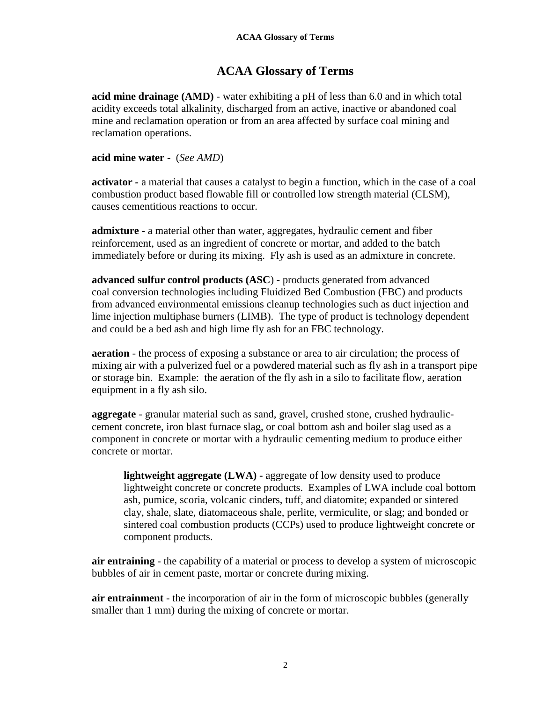### **ACAA Glossary of Terms**

**acid mine drainage (AMD)** - water exhibiting a pH of less than 6.0 and in which total acidity exceeds total alkalinity, discharged from an active, inactive or abandoned coal mine and reclamation operation or from an area affected by surface coal mining and reclamation operations.

**acid mine water** - (*See AMD*)

**activator** *-* a material that causes a catalyst to begin a function, which in the case of a coal combustion product based flowable fill or controlled low strength material (CLSM), causes cementitious reactions to occur.

**admixture** - a material other than water, aggregates, hydraulic cement and fiber reinforcement, used as an ingredient of concrete or mortar, and added to the batch immediately before or during its mixing. Fly ash is used as an admixture in concrete.

**advanced sulfur control products (ASC**) - products generated from advanced coal conversion technologies including Fluidized Bed Combustion (FBC) and products from advanced environmental emissions cleanup technologies such as duct injection and lime injection multiphase burners (LIMB). The type of product is technology dependent and could be a bed ash and high lime fly ash for an FBC technology.

**aeration** - the process of exposing a substance or area to air circulation; the process of mixing air with a pulverized fuel or a powdered material such as fly ash in a transport pipe or storage bin. Example: the aeration of the fly ash in a silo to facilitate flow, aeration equipment in a fly ash silo.

**aggregate** - granular material such as sand, gravel, crushed stone, crushed hydrauliccement concrete, iron blast furnace slag, or coal bottom ash and boiler slag used as a component in concrete or mortar with a hydraulic cementing medium to produce either concrete or mortar.

**lightweight aggregate (LWA) -** aggregate of low density used to produce lightweight concrete or concrete products. Examples of LWA include coal bottom ash, pumice, scoria, volcanic cinders, tuff, and diatomite; expanded or sintered clay, shale, slate, diatomaceous shale, perlite, vermiculite, or slag; and bonded or sintered coal combustion products (CCPs) used to produce lightweight concrete or component products.

**air entraining** - the capability of a material or process to develop a system of microscopic bubbles of air in cement paste, mortar or concrete during mixing.

**air entrainment** - the incorporation of air in the form of microscopic bubbles (generally smaller than 1 mm) during the mixing of concrete or mortar.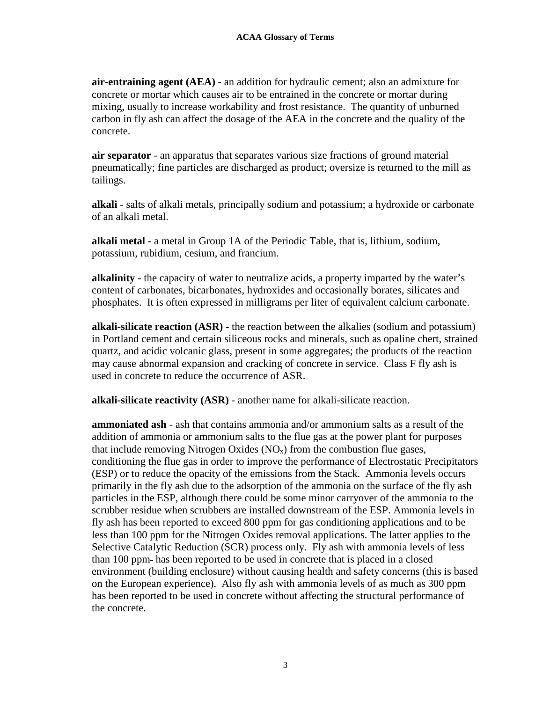**air-entraining agent (AEA)** - an addition for hydraulic cement; also an admixture for concrete or mortar which causes air to be entrained in the concrete or mortar during mixing, usually to increase workability and frost resistance. The quantity of unburned carbon in fly ash can affect the dosage of the AEA in the concrete and the quality of the concrete.

**air separator** - an apparatus that separates various size fractions of ground material pneumatically; fine particles are discharged as product; oversize is returned to the mill as tailings.

**alkali** - salts of alkali metals, principally sodium and potassium; a hydroxide or carbonate of an alkali metal.

**alkali metal -** a metal in Group 1A of the Periodic Table, that is, lithium, sodium, potassium, rubidium, cesium, and francium.

**alkalinity** - the capacity of water to neutralize acids, a property imparted by the water's content of carbonates, bicarbonates, hydroxides and occasionally borates, silicates and phosphates. It is often expressed in milligrams per liter of equivalent calcium carbonate.

**alkali-silicate reaction (ASR)** - the reaction between the alkalies (sodium and potassium) in Portland cement and certain siliceous rocks and minerals, such as opaline chert, strained quartz, and acidic volcanic glass, present in some aggregates; the products of the reaction may cause abnormal expansion and cracking of concrete in service. Class F fly ash is used in concrete to reduce the occurrence of ASR.

**alkali-silicate reactivity (ASR)** - another name for alkali-silicate reaction.

**ammoniated ash** - ash that contains ammonia and/or ammonium salts as a result of the addition of ammonia or ammonium salts to the flue gas at the power plant for purposes that include removing Nitrogen Oxides  $(NO<sub>x</sub>)$  from the combustion flue gases, conditioning the flue gas in order to improve the performance of Electrostatic Precipitators (ESP) or to reduce the opacity of the emissions from the Stack. Ammonia levels occurs primarily in the fly ash due to the adsorption of the ammonia on the surface of the fly ash particles in the ESP, although there could be some minor carryover of the ammonia to the scrubber residue when scrubbers are installed downstream of the ESP. Ammonia levels in fly ash has been reported to exceed 800 ppm for gas conditioning applications and to be less than 100 ppm for the Nitrogen Oxides removal applications. The latter applies to the Selective Catalytic Reduction (SCR) process only. Fly ash with ammonia levels of less than 100 ppm has been reported to be used in concrete that is placed in a closed environment (building enclosure) without causing health and safety concerns (this is based on the European experience). Also fly ash with ammonia levels of as much as 300 ppm has been reported to be used in concrete without affecting the structural performance of the concrete*.*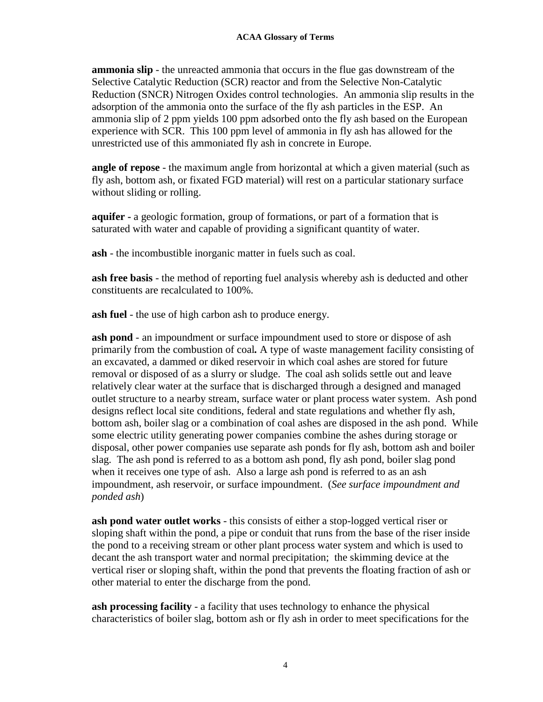**ammonia slip** - the unreacted ammonia that occurs in the flue gas downstream of the Selective Catalytic Reduction (SCR) reactor and from the Selective Non-Catalytic Reduction (SNCR) Nitrogen Oxides control technologies. An ammonia slip results in the adsorption of the ammonia onto the surface of the fly ash particles in the ESP. An ammonia slip of 2 ppm yields 100 ppm adsorbed onto the fly ash based on the European experience with SCR. This 100 ppm level of ammonia in fly ash has allowed for the unrestricted use of this ammoniated fly ash in concrete in Europe.

**angle of repose** - the maximum angle from horizontal at which a given material (such as fly ash, bottom ash, or fixated FGD material) will rest on a particular stationary surface without sliding or rolling.

**aquifer -** a geologic formation, group of formations, or part of a formation that is saturated with water and capable of providing a significant quantity of water.

**ash** - the incombustible inorganic matter in fuels such as coal.

**ash free basis** - the method of reporting fuel analysis whereby ash is deducted and other constituents are recalculated to 100%.

**ash fuel** - the use of high carbon ash to produce energy.

**ash pond** - an impoundment or surface impoundment used to store or dispose of ash primarily from the combustion of coal*.* A type of waste management facility consisting of an excavated, a dammed or diked reservoir in which coal ashes are stored for future removal or disposed of as a slurry or sludge. The coal ash solids settle out and leave relatively clear water at the surface that is discharged through a designed and managed outlet structure to a nearby stream, surface water or plant process water system. Ash pond designs reflect local site conditions, federal and state regulations and whether fly ash, bottom ash, boiler slag or a combination of coal ashes are disposed in the ash pond. While some electric utility generating power companies combine the ashes during storage or disposal, other power companies use separate ash ponds for fly ash, bottom ash and boiler slag. The ash pond is referred to as a bottom ash pond, fly ash pond, boiler slag pond when it receives one type of ash. Also a large ash pond is referred to as an ash impoundment, ash reservoir, or surface impoundment. (*See surface impoundment and ponded ash*)

**ash pond water outlet works** - this consists of either a stop-logged vertical riser or sloping shaft within the pond, a pipe or conduit that runs from the base of the riser inside the pond to a receiving stream or other plant process water system and which is used to decant the ash transport water and normal precipitation; the skimming device at the vertical riser or sloping shaft, within the pond that prevents the floating fraction of ash or other material to enter the discharge from the pond.

**ash processing facility** - a facility that uses technology to enhance the physical characteristics of boiler slag, bottom ash or fly ash in order to meet specifications for the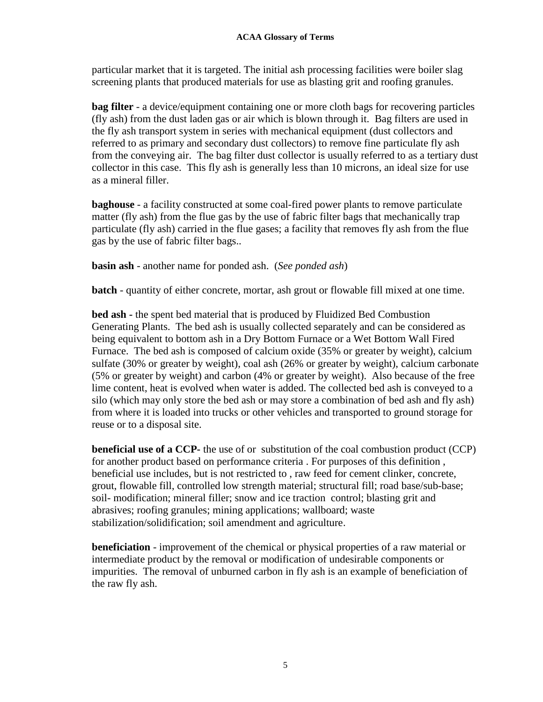particular market that it is targeted. The initial ash processing facilities were boiler slag screening plants that produced materials for use as blasting grit and roofing granules.

**bag filter** - a device/equipment containing one or more cloth bags for recovering particles (fly ash) from the dust laden gas or air which is blown through it. Bag filters are used in the fly ash transport system in series with mechanical equipment (dust collectors and referred to as primary and secondary dust collectors) to remove fine particulate fly ash from the conveying air. The bag filter dust collector is usually referred to as a tertiary dust collector in this case. This fly ash is generally less than 10 microns, an ideal size for use as a mineral filler.

**baghouse** - a facility constructed at some coal-fired power plants to remove particulate matter (fly ash) from the flue gas by the use of fabric filter bags that mechanically trap particulate (fly ash) carried in the flue gases; a facility that removes fly ash from the flue gas by the use of fabric filter bags..

**basin ash** - another name for ponded ash. (*See ponded ash*)

**batch** - quantity of either concrete, mortar, ash grout or flowable fill mixed at one time.

**bed ash -** the spent bed material that is produced by Fluidized Bed Combustion Generating Plants. The bed ash is usually collected separately and can be considered as being equivalent to bottom ash in a Dry Bottom Furnace or a Wet Bottom Wall Fired Furnace. The bed ash is composed of calcium oxide (35% or greater by weight), calcium sulfate (30% or greater by weight), coal ash (26% or greater by weight), calcium carbonate (5% or greater by weight) and carbon (4% or greater by weight). Also because of the free lime content, heat is evolved when water is added. The collected bed ash is conveyed to a silo (which may only store the bed ash or may store a combination of bed ash and fly ash) from where it is loaded into trucks or other vehicles and transported to ground storage for reuse or to a disposal site.

**beneficial use of a CCP-** the use of or substitution of the coal combustion product (CCP) for another product based on performance criteria . For purposes of this definition , beneficial use includes, but is not restricted to , raw feed for cement clinker, concrete, grout, flowable fill, controlled low strength material; structural fill; road base/sub-base; soil- modification; mineral filler; snow and ice traction control; blasting grit and abrasives; roofing granules; mining applications; wallboard; waste stabilization/solidification; soil amendment and agriculture.

**beneficiation** - improvement of the chemical or physical properties of a raw material or intermediate product by the removal or modification of undesirable components or impurities. The removal of unburned carbon in fly ash is an example of beneficiation of the raw fly ash.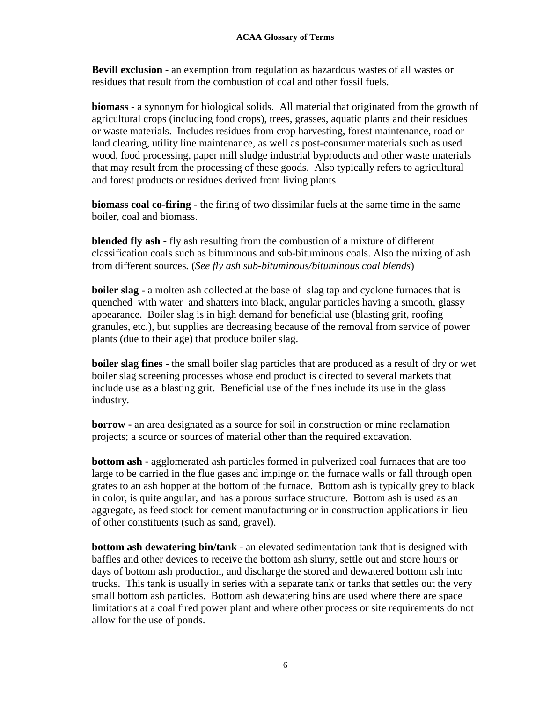**Bevill exclusion** - an exemption from regulation as hazardous wastes of all wastes or residues that result from the combustion of coal and other fossil fuels.

**biomass** - a synonym for biological solids. All material that originated from the growth of agricultural crops (including food crops), trees, grasses, aquatic plants and their residues or waste materials. Includes residues from crop harvesting, forest maintenance, road or land clearing, utility line maintenance, as well as post-consumer materials such as used wood, food processing, paper mill sludge industrial byproducts and other waste materials that may result from the processing of these goods. Also typically refers to agricultural and forest products or residues derived from living plants

**biomass coal co-firing** *-* the firing of two dissimilar fuels at the same time in the same boiler, coal and biomass.

**blended fly ash** - fly ash resulting from the combustion of a mixture of different classification coals such as bituminous and sub-bituminous coals. Also the mixing of ash from different sources*.* (*See fly ash sub-bituminous/bituminous coal blends*)

**boiler slag** - a molten ash collected at the base of slag tap and cyclone furnaces that is quenched with water and shatters into black, angular particles having a smooth, glassy appearance. Boiler slag is in high demand for beneficial use (blasting grit, roofing granules, etc.), but supplies are decreasing because of the removal from service of power plants (due to their age) that produce boiler slag.

**boiler slag fines** - the small boiler slag particles that are produced as a result of dry or wet boiler slag screening processes whose end product is directed to several markets that include use as a blasting grit. Beneficial use of the fines include its use in the glass industry.

**borrow -** an area designated as a source for soil in construction or mine reclamation projects; a source or sources of material other than the required excavation*.*

**bottom ash** - agglomerated ash particles formed in pulverized coal furnaces that are too large to be carried in the flue gases and impinge on the furnace walls or fall through open grates to an ash hopper at the bottom of the furnace. Bottom ash is typically grey to black in color, is quite angular, and has a porous surface structure. Bottom ash is used as an aggregate, as feed stock for cement manufacturing or in construction applications in lieu of other constituents (such as sand, gravel).

**bottom ash dewatering bin/tank** - an elevated sedimentation tank that is designed with baffles and other devices to receive the bottom ash slurry, settle out and store hours or days of bottom ash production, and discharge the stored and dewatered bottom ash into trucks. This tank is usually in series with a separate tank or tanks that settles out the very small bottom ash particles. Bottom ash dewatering bins are used where there are space limitations at a coal fired power plant and where other process or site requirements do not allow for the use of ponds.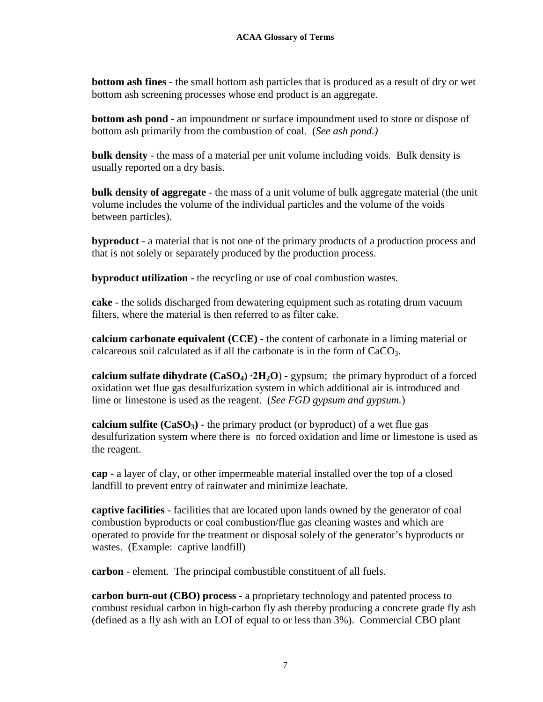**bottom ash fines** - the small bottom ash particles that is produced as a result of dry or wet bottom ash screening processes whose end product is an aggregate.

**bottom ash pond** - an impoundment or surface impoundment used to store or dispose of bottom ash primarily from the combustion of coal*.* (*See ash pond.)*

**bulk density** - the mass of a material per unit volume including voids. Bulk density is usually reported on a dry basis.

**bulk density of aggregate** - the mass of a unit volume of bulk aggregate material (the unit volume includes the volume of the individual particles and the volume of the voids between particles).

**byproduct** - a material that is not one of the primary products of a production process and that is not solely or separately produced by the production process.

**byproduct utilization** - the recycling or use of coal combustion wastes.

**cake** - the solids discharged from dewatering equipment such as rotating drum vacuum filters, where the material is then referred to as filter cake.

**calcium carbonate equivalent (CCE)** - the content of carbonate in a liming material or calcareous soil calculated as if all the carbonate is in the form of  $CaCO<sub>3</sub>$ .

**calcium sulfate dihydrate (CaSO4) ∙2H2O**) - gypsum; the primary byproduct of a forced oxidation wet flue gas desulfurization system in which additional air is introduced and lime or limestone is used as the reagent. (*See FGD gypsum and gypsum.*)

**calcium sulfite**  $(CaSO_3)$  - the primary product (or byproduct) of a wet flue gas desulfurization system where there is no forced oxidation and lime or limestone is used as the reagent.

**cap -** a layer of clay, or other impermeable material installed over the top of a closed landfill to prevent entry of rainwater and minimize leachate.

**captive facilities** - facilities that are located upon lands owned by the generator of coal combustion byproducts or coal combustion/flue gas cleaning wastes and which are operated to provide for the treatment or disposal solely of the generator's byproducts or wastes. (Example: captive landfill)

**carbon** - element. The principal combustible constituent of all fuels.

**carbon burn-out (CBO) process** - a proprietary technology and patented process to combust residual carbon in high-carbon fly ash thereby producing a concrete grade fly ash (defined as a fly ash with an LOI of equal to or less than 3%). Commercial CBO plant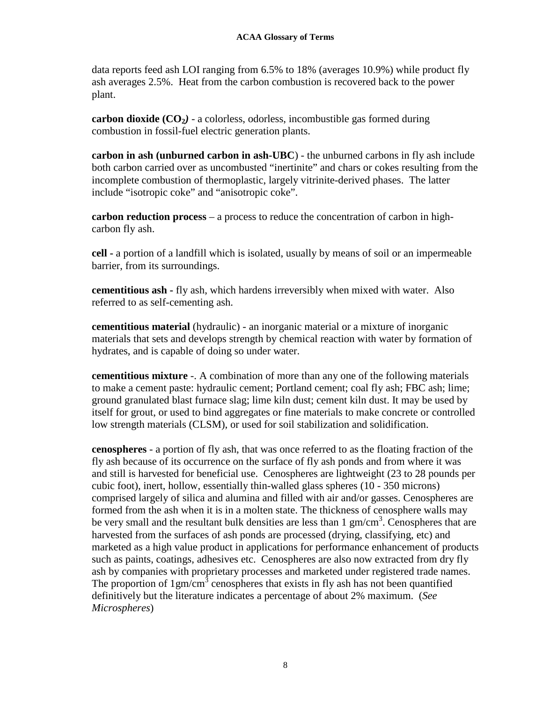data reports feed ash LOI ranging from 6.5% to 18% (averages 10.9%) while product fly ash averages 2.5%. Heat from the carbon combustion is recovered back to the power plant.

**carbon dioxide (CO2***)* - a colorless, odorless, incombustible gas formed during combustion in fossil-fuel electric generation plants.

**carbon in ash (unburned carbon in ash-UBC**) - the unburned carbons in fly ash include both carbon carried over as uncombusted "inertinite" and chars or cokes resulting from the incomplete combustion of thermoplastic, largely vitrinite-derived phases. The latter include "isotropic coke" and "anisotropic coke".

**carbon reduction process** *–* a process to reduce the concentration of carbon in highcarbon fly ash.

**cell -** a portion of a landfill which is isolated, usually by means of soil or an impermeable barrier, from its surroundings.

**cementitious ash -** fly ash, which hardens irreversibly when mixed with water. Also referred to as self-cementing ash.

**cementitious material** (hydraulic) - an inorganic material or a mixture of inorganic materials that sets and develops strength by chemical reaction with water by formation of hydrates, and is capable of doing so under water.

**cementitious mixture** -. A combination of more than any one of the following materials to make a cement paste: hydraulic cement; Portland cement; coal fly ash; FBC ash; lime; ground granulated blast furnace slag; lime kiln dust; cement kiln dust. It may be used by itself for grout, or used to bind aggregates or fine materials to make concrete or controlled low strength materials (CLSM), or used for soil stabilization and solidification.

**cenospheres** - a portion of fly ash, that was once referred to as the floating fraction of the fly ash because of its occurrence on the surface of fly ash ponds and from where it was and still is harvested for beneficial use. Cenospheres are lightweight (23 to 28 pounds per cubic foot), inert, hollow, essentially thin-walled glass spheres (10 - 350 microns) comprised largely of silica and alumina and filled with air and/or gasses. Cenospheres are formed from the ash when it is in a molten state. The thickness of cenosphere walls may be very small and the resultant bulk densities are less than  $1 \text{ gm/cm}^3$ . Cenospheres that are harvested from the surfaces of ash ponds are processed (drying, classifying, etc) and marketed as a high value product in applications for performance enhancement of products such as paints, coatings, adhesives etc. Cenospheres are also now extracted from dry fly ash by companies with proprietary processes and marketed under registered trade names. The proportion of  $1gm/cm<sup>3</sup>$  cenospheres that exists in fly ash has not been quantified definitively but the literature indicates a percentage of about 2% maximum. (*See Microspheres*)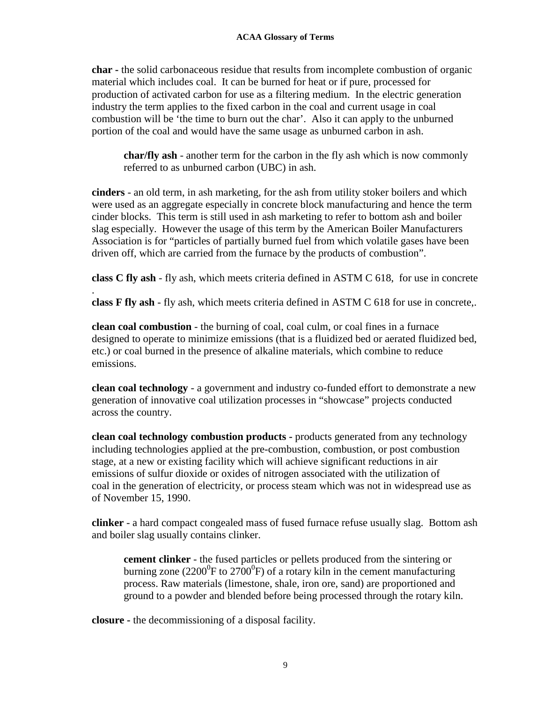**char -** the solid carbonaceous residue that results from incomplete combustion of organic material which includes coal. It can be burned for heat or if pure, processed for production of activated carbon for use as a filtering medium. In the electric generation industry the term applies to the fixed carbon in the coal and current usage in coal combustion will be 'the time to burn out the char'. Also it can apply to the unburned portion of the coal and would have the same usage as unburned carbon in ash.

**char/fly ash** - another term for the carbon in the fly ash which is now commonly referred to as unburned carbon (UBC) in ash.

**cinders** - an old term, in ash marketing, for the ash from utility stoker boilers and which were used as an aggregate especially in concrete block manufacturing and hence the term cinder blocks. This term is still used in ash marketing to refer to bottom ash and boiler slag especially. However the usage of this term by the American Boiler Manufacturers Association is for "particles of partially burned fuel from which volatile gases have been driven off, which are carried from the furnace by the products of combustion".

**class C fly ash** - fly ash, which meets criteria defined in ASTM C 618, for use in concrete

**class F fly ash** - fly ash, which meets criteria defined in ASTM C 618 for use in concrete,.

**clean coal combustion** - the burning of coal, coal culm, or coal fines in a furnace designed to operate to minimize emissions (that is a fluidized bed or aerated fluidized bed, etc.) or coal burned in the presence of alkaline materials, which combine to reduce emissions.

**clean coal technology** - a government and industry co-funded effort to demonstrate a new generation of innovative coal utilization processes in "showcase" projects conducted across the country.

**clean coal technology combustion products -** products generated from any technology including technologies applied at the pre-combustion, combustion, or post combustion stage, at a new or existing facility which will achieve significant reductions in air emissions of sulfur dioxide or oxides of nitrogen associated with the utilization of coal in the generation of electricity, or process steam which was not in widespread use as of November 15, 1990.

**clinker** - a hard compact congealed mass of fused furnace refuse usually slag. Bottom ash and boiler slag usually contains clinker.

**cement clinker** - the fused particles or pellets produced from the sintering or burning zone (2200<sup>0</sup>F to 2700<sup>0</sup>F) of a rotary kiln in the cement manufacturing process. Raw materials (limestone, shale, iron ore, sand) are proportioned and ground to a powder and blended before being processed through the rotary kiln.

**closure -** the decommissioning of a disposal facility.

.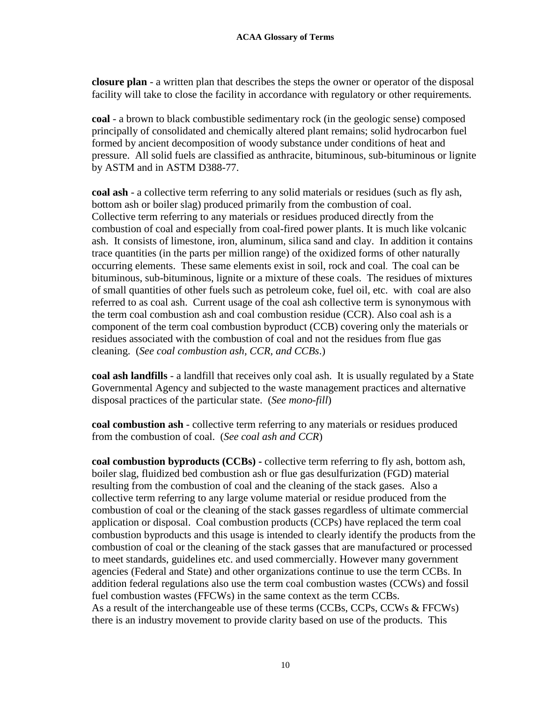**closure plan** - a written plan that describes the steps the owner or operator of the disposal facility will take to close the facility in accordance with regulatory or other requirements*.*

**coal** - a brown to black combustible sedimentary rock (in the geologic sense) composed principally of consolidated and chemically altered plant remains; solid hydrocarbon fuel formed by ancient decomposition of woody substance under conditions of heat and pressure. All solid fuels are classified as anthracite, bituminous, sub-bituminous or lignite by ASTM and in ASTM D388-77.

**coal ash** - a collective term referring to any solid materials or residues (such as fly ash, bottom ash or boiler slag) produced primarily from the combustion of coal. Collective term referring to any materials or residues produced directly from the combustion of coal and especially from coal-fired power plants. It is much like volcanic ash. It consists of limestone, iron, aluminum, silica sand and clay. In addition it contains trace quantities (in the parts per million range) of the oxidized forms of other naturally occurring elements. These same elements exist in soil, rock and coal. The coal can be bituminous, sub-bituminous, lignite or a mixture of these coals. The residues of mixtures of small quantities of other fuels such as petroleum coke, fuel oil, etc. with coal are also referred to as coal ash. Current usage of the coal ash collective term is synonymous with the term coal combustion ash and coal combustion residue (CCR). Also coal ash is a component of the term coal combustion byproduct (CCB) covering only the materials or residues associated with the combustion of coal and not the residues from flue gas cleaning. (*See coal combustion ash, CCR, and CCBs*.)

**coal ash landfills** - a landfill that receives only coal ash. It is usually regulated by a State Governmental Agency and subjected to the waste management practices and alternative disposal practices of the particular state. (*See mono-fill*)

**coal combustion ash** - collective term referring to any materials or residues produced from the combustion of coal. (*See coal ash and CCR*)

**coal combustion byproducts (CCBs) -** collective term referring to fly ash, bottom ash, boiler slag, fluidized bed combustion ash or flue gas desulfurization (FGD) material resulting from the combustion of coal and the cleaning of the stack gases. Also a collective term referring to any large volume material or residue produced from the combustion of coal or the cleaning of the stack gasses regardless of ultimate commercial application or disposal. Coal combustion products (CCPs) have replaced the term coal combustion byproducts and this usage is intended to clearly identify the products from the combustion of coal or the cleaning of the stack gasses that are manufactured or processed to meet standards, guidelines etc. and used commercially. However many government agencies (Federal and State) and other organizations continue to use the term CCBs. In addition federal regulations also use the term coal combustion wastes (CCWs) and fossil fuel combustion wastes (FFCWs) in the same context as the term CCBs. As a result of the interchangeable use of these terms (CCBs, CCPs, CCWs & FFCWs) there is an industry movement to provide clarity based on use of the products. This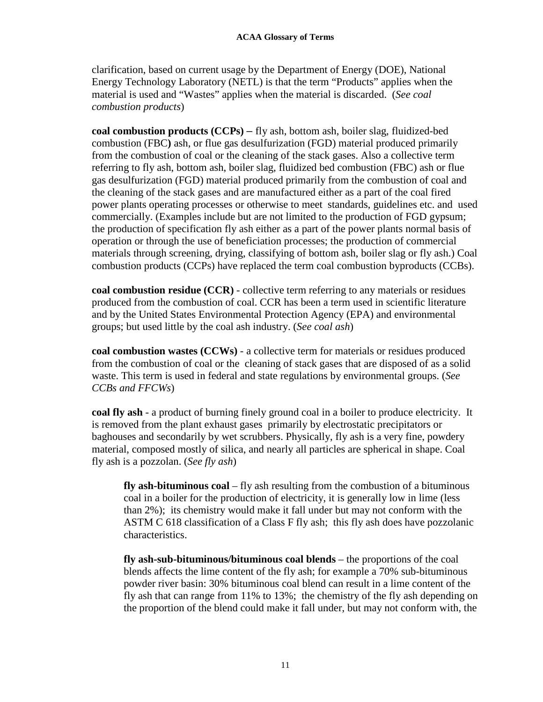clarification, based on current usage by the Department of Energy (DOE), National Energy Technology Laboratory (NETL) is that the term "Products" applies when the material is used and "Wastes" applies when the material is discarded. (*See coal combustion products*)

**coal combustion products (CCPs)** – fly ash, bottom ash, boiler slag, fluidized-bed combustion (FBC**)** ash, or flue gas desulfurization (FGD) material produced primarily from the combustion of coal or the cleaning of the stack gases. Also a collective term referring to fly ash, bottom ash, boiler slag, fluidized bed combustion (FBC) ash or flue gas desulfurization (FGD) material produced primarily from the combustion of coal and the cleaning of the stack gases and are manufactured either as a part of the coal fired power plants operating processes or otherwise to meet standards, guidelines etc. and used commercially. (Examples include but are not limited to the production of FGD gypsum; the production of specification fly ash either as a part of the power plants normal basis of operation or through the use of beneficiation processes; the production of commercial materials through screening, drying, classifying of bottom ash, boiler slag or fly ash.) Coal combustion products (CCPs) have replaced the term coal combustion byproducts (CCBs).

**coal combustion residue (CCR)** - collective term referring to any materials or residues produced from the combustion of coal. CCR has been a term used in scientific literature and by the United States Environmental Protection Agency (EPA) and environmental groups; but used little by the coal ash industry. (*See coal ash*)

**coal combustion wastes (CCWs)** - a collective term for materials or residues produced from the combustion of coal or the cleaning of stack gases that are disposed of as a solid waste. This term is used in federal and state regulations by environmental groups. (*See CCBs and FFCWs*)

**coal fly ash** - a product of burning finely ground coal in a boiler to produce electricity. It is removed from the plant exhaust gases primarily by electrostatic precipitators or baghouses and secondarily by wet scrubbers. Physically, fly ash is a very fine, powdery material, composed mostly of silica, and nearly all particles are spherical in shape. Coal fly ash is a pozzolan. (*See fly ash*)

**fly ash-bituminous coal** – fly ash resulting from the combustion of a bituminous coal in a boiler for the production of electricity, it is generally low in lime (less than 2%); its chemistry would make it fall under but may not conform with the ASTM C 618 classification of a Class F fly ash; this fly ash does have pozzolanic characteristics.

**fly ash-sub-bituminous/bituminous coal blends** – the proportions of the coal blends affects the lime content of the fly ash; for example a 70% sub-bituminous powder river basin: 30% bituminous coal blend can result in a lime content of the fly ash that can range from 11% to 13%; the chemistry of the fly ash depending on the proportion of the blend could make it fall under, but may not conform with, the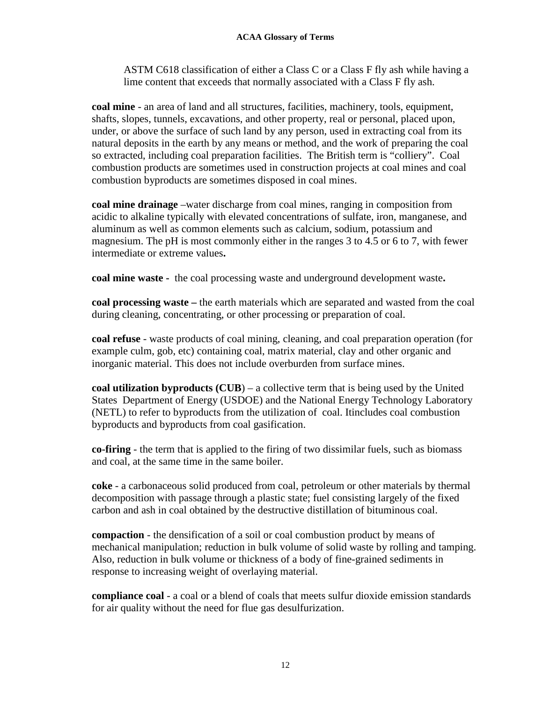ASTM C618 classification of either a Class C or a Class F fly ash while having a lime content that exceeds that normally associated with a Class F fly ash.

**coal mine** - an area of land and all structures, facilities, machinery, tools, equipment, shafts, slopes, tunnels, excavations, and other property, real or personal, placed upon, under, or above the surface of such land by any person, used in extracting coal from its natural deposits in the earth by any means or method, and the work of preparing the coal so extracted, including coal preparation facilities. The British term is "colliery". Coal combustion products are sometimes used in construction projects at coal mines and coal combustion byproducts are sometimes disposed in coal mines.

**coal mine drainage** *–*water discharge from coal mines, ranging in composition from acidic to alkaline typically with elevated concentrations of sulfate, iron, manganese, and aluminum as well as common elements such as calcium, sodium, potassium and magnesium. The pH is most commonly either in the ranges 3 to 4.5 or 6 to 7, with fewer intermediate or extreme values**.**

**coal mine waste -** the coal processing waste and underground development waste**.**

**coal processing waste –** the earth materials which are separated and wasted from the coal during cleaning, concentrating, or other processing or preparation of coal.

**coal refuse** - waste products of coal mining, cleaning, and coal preparation operation (for example culm, gob, etc) containing coal, matrix material, clay and other organic and inorganic material. This does not include overburden from surface mines.

**coal utilization byproducts (CUB**) – a collective term that is being used by the United States Department of Energy (USDOE) and the National Energy Technology Laboratory (NETL) to refer to byproducts from the utilization of coal. Itincludes coal combustion byproducts and byproducts from coal gasification.

**co-firing** - the term that is applied to the firing of two dissimilar fuels, such as biomass and coal, at the same time in the same boiler.

**coke** - a carbonaceous solid produced from coal, petroleum or other materials by thermal decomposition with passage through a plastic state; fuel consisting largely of the fixed carbon and ash in coal obtained by the destructive distillation of bituminous coal.

**compaction** - the densification of a soil or coal combustion product by means of mechanical manipulation; reduction in bulk volume of solid waste by rolling and tamping. Also, reduction in bulk volume or thickness of a body of fine-grained sediments in response to increasing weight of overlaying material.

**compliance coal** - a coal or a blend of coals that meets sulfur dioxide emission standards for air quality without the need for flue gas desulfurization.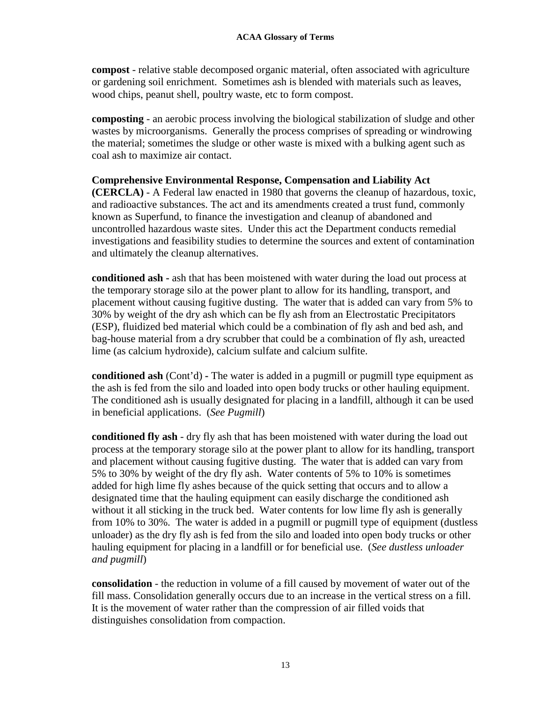**compost** - relative stable decomposed organic material, often associated with agriculture or gardening soil enrichment. Sometimes ash is blended with materials such as leaves, wood chips, peanut shell, poultry waste, etc to form compost.

**composting** - an aerobic process involving the biological stabilization of sludge and other wastes by microorganisms. Generally the process comprises of spreading or windrowing the material; sometimes the sludge or other waste is mixed with a bulking agent such as coal ash to maximize air contact.

### **Comprehensive Environmental Response, Compensation and Liability Act**

**(CERCLA)** - A Federal law enacted in 1980 that governs the cleanup of hazardous, toxic, and radioactive substances. The act and its amendments created a trust fund, commonly known as Superfund, to finance the investigation and cleanup of abandoned and uncontrolled hazardous waste sites. Under this act the Department conducts remedial investigations and feasibility studies to determine the sources and extent of contamination and ultimately the cleanup alternatives.

**conditioned ash -** ash that has been moistened with water during the load out process at the temporary storage silo at the power plant to allow for its handling, transport, and placement without causing fugitive dusting. The water that is added can vary from 5% to 30% by weight of the dry ash which can be fly ash from an Electrostatic Precipitators (ESP), fluidized bed material which could be a combination of fly ash and bed ash, and bag-house material from a dry scrubber that could be a combination of fly ash, ureacted lime (as calcium hydroxide), calcium sulfate and calcium sulfite.

**conditioned ash** (Cont'd) **-** The water is added in a pugmill or pugmill type equipment as the ash is fed from the silo and loaded into open body trucks or other hauling equipment. The conditioned ash is usually designated for placing in a landfill, although it can be used in beneficial applications. (*See Pugmill*)

**conditioned fly ash** - dry fly ash that has been moistened with water during the load out process at the temporary storage silo at the power plant to allow for its handling, transport and placement without causing fugitive dusting. The water that is added can vary from 5% to 30% by weight of the dry fly ash. Water contents of 5% to 10% is sometimes added for high lime fly ashes because of the quick setting that occurs and to allow a designated time that the hauling equipment can easily discharge the conditioned ash without it all sticking in the truck bed. Water contents for low lime fly ash is generally from 10% to 30%. The water is added in a pugmill or pugmill type of equipment (dustless unloader) as the dry fly ash is fed from the silo and loaded into open body trucks or other hauling equipment for placing in a landfill or for beneficial use. (*See dustless unloader and pugmill*)

**consolidation** - the reduction in volume of a fill caused by movement of water out of the fill mass. Consolidation generally occurs due to an increase in the vertical stress on a fill. It is the movement of water rather than the compression of air filled voids that distinguishes consolidation from compaction.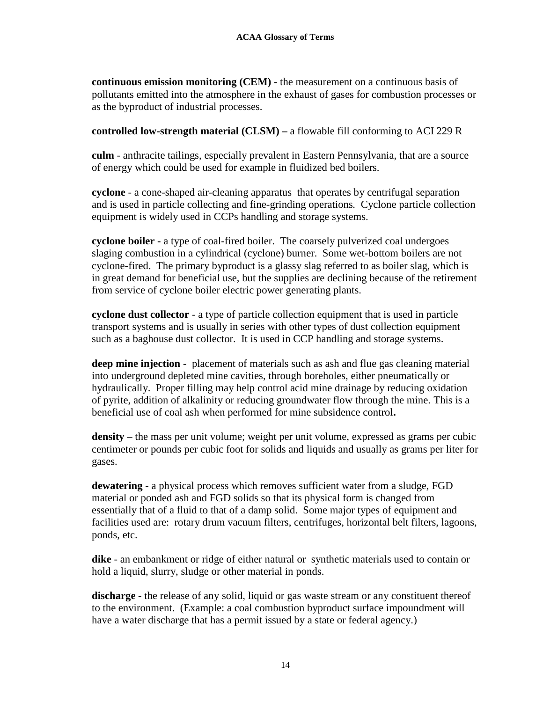**continuous emission monitoring (CEM)** - the measurement on a continuous basis of pollutants emitted into the atmosphere in the exhaust of gases for combustion processes or as the byproduct of industrial processes.

### **controlled low-strength material (CLSM) –** a flowable fill conforming to ACI 229 R

**culm** - anthracite tailings, especially prevalent in Eastern Pennsylvania, that are a source of energy which could be used for example in fluidized bed boilers.

**cyclone** - a cone-shaped air-cleaning apparatus that operates by centrifugal separation and is used in particle collecting and fine-grinding operations*.* Cyclone particle collection equipment is widely used in CCPs handling and storage systems.

**cyclone boiler -** a type of coal-fired boiler. The coarsely pulverized coal undergoes slaging combustion in a cylindrical (cyclone) burner. Some wet-bottom boilers are not cyclone-fired. The primary byproduct is a glassy slag referred to as boiler slag, which is in great demand for beneficial use, but the supplies are declining because of the retirement from service of cyclone boiler electric power generating plants.

**cyclone dust collector** - a type of particle collection equipment that is used in particle transport systems and is usually in series with other types of dust collection equipment such as a baghouse dust collector. It is used in CCP handling and storage systems.

**deep mine injection** - placement of materials such as ash and flue gas cleaning material into underground depleted mine cavities, through boreholes, either pneumatically or hydraulically. Proper filling may help control acid mine drainage by reducing oxidation of pyrite, addition of alkalinity or reducing groundwater flow through the mine. This is a beneficial use of coal ash when performed for mine subsidence control**.**

**density** – the mass per unit volume; weight per unit volume, expressed as grams per cubic centimeter or pounds per cubic foot for solids and liquids and usually as grams per liter for gases.

**dewatering** - a physical process which removes sufficient water from a sludge, FGD material or ponded ash and FGD solids so that its physical form is changed from essentially that of a fluid to that of a damp solid. Some major types of equipment and facilities used are: rotary drum vacuum filters, centrifuges, horizontal belt filters, lagoons, ponds, etc.

**dike** - an embankment or ridge of either natural or synthetic materials used to contain or hold a liquid, slurry, sludge or other material in ponds.

**discharge** - the release of any solid, liquid or gas waste stream or any constituent thereof to the environment. (Example: a coal combustion byproduct surface impoundment will have a water discharge that has a permit issued by a state or federal agency.)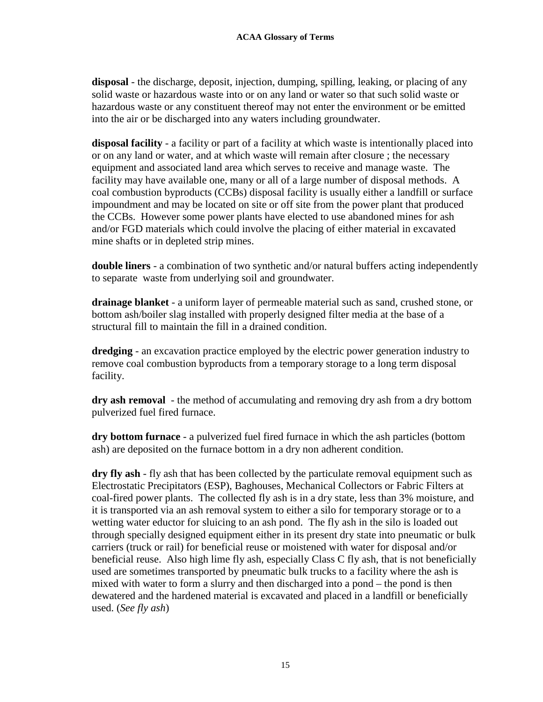**disposal** - the discharge, deposit, injection, dumping, spilling, leaking, or placing of any solid waste or hazardous waste into or on any land or water so that such solid waste or hazardous waste or any constituent thereof may not enter the environment or be emitted into the air or be discharged into any waters including groundwater.

**disposal facility** - a facility or part of a facility at which waste is intentionally placed into or on any land or water, and at which waste will remain after closure ; the necessary equipment and associated land area which serves to receive and manage waste. The facility may have available one, many or all of a large number of disposal methods. A coal combustion byproducts (CCBs) disposal facility is usually either a landfill or surface impoundment and may be located on site or off site from the power plant that produced the CCBs. However some power plants have elected to use abandoned mines for ash and/or FGD materials which could involve the placing of either material in excavated mine shafts or in depleted strip mines.

**double liners** - a combination of two synthetic and/or natural buffers acting independently to separate waste from underlying soil and groundwater.

**drainage blanket** - a uniform layer of permeable material such as sand, crushed stone, or bottom ash/boiler slag installed with properly designed filter media at the base of a structural fill to maintain the fill in a drained condition.

**dredging** - an excavation practice employed by the electric power generation industry to remove coal combustion byproducts from a temporary storage to a long term disposal facility.

**dry ash removal** - the method of accumulating and removing dry ash from a dry bottom pulverized fuel fired furnace.

**dry bottom furnace** - a pulverized fuel fired furnace in which the ash particles (bottom ash) are deposited on the furnace bottom in a dry non adherent condition.

**dry fly ash** - fly ash that has been collected by the particulate removal equipment such as Electrostatic Precipitators (ESP), Baghouses, Mechanical Collectors or Fabric Filters at coal-fired power plants. The collected fly ash is in a dry state, less than 3% moisture, and it is transported via an ash removal system to either a silo for temporary storage or to a wetting water eductor for sluicing to an ash pond. The fly ash in the silo is loaded out through specially designed equipment either in its present dry state into pneumatic or bulk carriers (truck or rail) for beneficial reuse or moistened with water for disposal and/or beneficial reuse. Also high lime fly ash, especially Class C fly ash, that is not beneficially used are sometimes transported by pneumatic bulk trucks to a facility where the ash is mixed with water to form a slurry and then discharged into a pond – the pond is then dewatered and the hardened material is excavated and placed in a landfill or beneficially used. (*See fly ash*)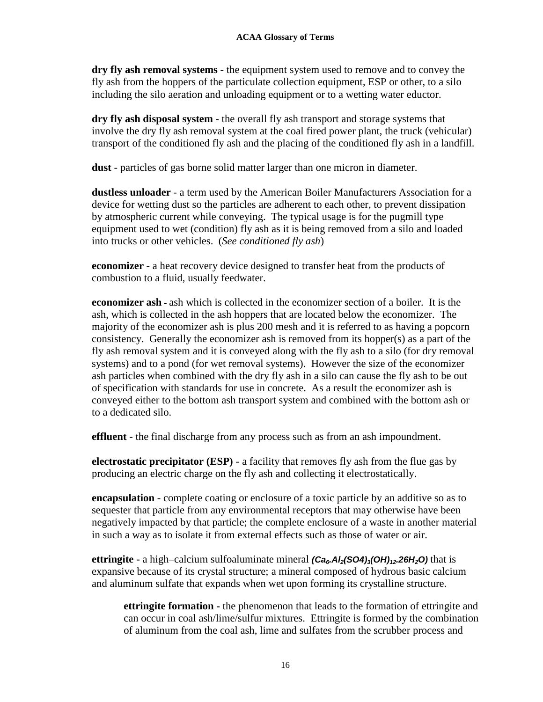**dry fly ash removal systems** - the equipment system used to remove and to convey the fly ash from the hoppers of the particulate collection equipment, ESP or other, to a silo including the silo aeration and unloading equipment or to a wetting water eductor.

**dry fly ash disposal system** - the overall fly ash transport and storage systems that involve the dry fly ash removal system at the coal fired power plant, the truck (vehicular) transport of the conditioned fly ash and the placing of the conditioned fly ash in a landfill.

**dust** - particles of gas borne solid matter larger than one micron in diameter.

**dustless unloader** - a term used by the American Boiler Manufacturers Association for a device for wetting dust so the particles are adherent to each other, to prevent dissipation by atmospheric current while conveying. The typical usage is for the pugmill type equipment used to wet (condition) fly ash as it is being removed from a silo and loaded into trucks or other vehicles. (*See conditioned fly ash*)

**economizer** - a heat recovery device designed to transfer heat from the products of combustion to a fluid, usually feedwater.

**economizer ash** - ash which is collected in the economizer section of a boiler. It is the ash, which is collected in the ash hoppers that are located below the economizer. The majority of the economizer ash is plus 200 mesh and it is referred to as having a popcorn consistency. Generally the economizer ash is removed from its hopper(s) as a part of the fly ash removal system and it is conveyed along with the fly ash to a silo (for dry removal systems) and to a pond (for wet removal systems). However the size of the economizer ash particles when combined with the dry fly ash in a silo can cause the fly ash to be out of specification with standards for use in concrete. As a result the economizer ash is conveyed either to the bottom ash transport system and combined with the bottom ash or to a dedicated silo.

**effluent** - the final discharge from any process such as from an ash impoundment.

**electrostatic precipitator (ESP)** - a facility that removes fly ash from the flue gas by producing an electric charge on the fly ash and collecting it electrostatically.

**encapsulation** - complete coating or enclosure of a toxic particle by an additive so as to sequester that particle from any environmental receptors that may otherwise have been negatively impacted by that particle; the complete enclosure of a waste in another material in such a way as to isolate it from external effects such as those of water or air.

**ettringite -** a high–calcium sulfoaluminate mineral *(Ca6.Al2(SO4)3(OH)12.26H2O)* that is expansive because of its crystal structure; a mineral composed of hydrous basic calcium and aluminum sulfate that expands when wet upon forming its crystalline structure.

**ettringite formation -** the phenomenon that leads to the formation of ettringite and can occur in coal ash/lime/sulfur mixtures. Ettringite is formed by the combination of aluminum from the coal ash, lime and sulfates from the scrubber process and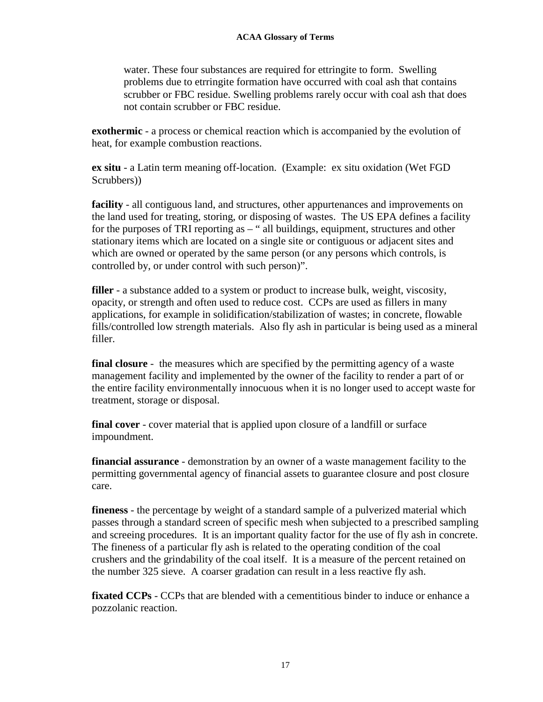#### **ACAA Glossary of Terms**

water. These four substances are required for ettringite to form. Swelling problems due to etrringite formation have occurred with coal ash that contains scrubber or FBC residue. Swelling problems rarely occur with coal ash that does not contain scrubber or FBC residue.

**exothermic** - a process or chemical reaction which is accompanied by the evolution of heat, for example combustion reactions.

**ex situ** - a Latin term meaning off-location. (Example: ex situ oxidation (Wet FGD Scrubbers))

**facility** - all contiguous land, and structures, other appurtenances and improvements on the land used for treating, storing, or disposing of wastes. The US EPA defines a facility for the purposes of TRI reporting as – " all buildings, equipment, structures and other stationary items which are located on a single site or contiguous or adjacent sites and which are owned or operated by the same person (or any persons which controls, is controlled by, or under control with such person)".

**filler** - a substance added to a system or product to increase bulk, weight, viscosity, opacity, or strength and often used to reduce cost. CCPs are used as fillers in many applications, for example in solidification/stabilization of wastes; in concrete, flowable fills/controlled low strength materials. Also fly ash in particular is being used as a mineral filler.

**final closure** - the measures which are specified by the permitting agency of a waste management facility and implemented by the owner of the facility to render a part of or the entire facility environmentally innocuous when it is no longer used to accept waste for treatment, storage or disposal.

**final cover** - cover material that is applied upon closure of a landfill or surface impoundment.

**financial assurance** - demonstration by an owner of a waste management facility to the permitting governmental agency of financial assets to guarantee closure and post closure care.

**fineness** - the percentage by weight of a standard sample of a pulverized material which passes through a standard screen of specific mesh when subjected to a prescribed sampling and screeing procedures. It is an important quality factor for the use of fly ash in concrete. The fineness of a particular fly ash is related to the operating condition of the coal crushers and the grindability of the coal itself. It is a measure of the percent retained on the number 325 sieve. A coarser gradation can result in a less reactive fly ash.

**fixated CCPs** - CCPs that are blended with a cementitious binder to induce or enhance a pozzolanic reaction.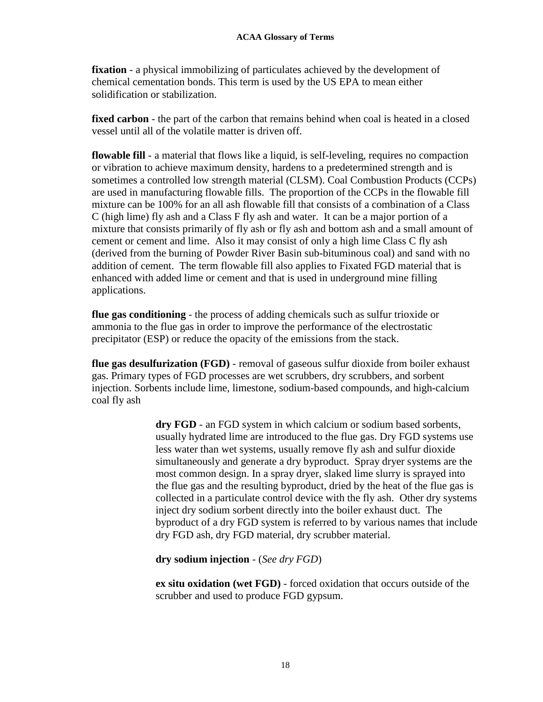**fixation** - a physical immobilizing of particulates achieved by the development of chemical cementation bonds. This term is used by the US EPA to mean either solidification or stabilization.

**fixed carbon** - the part of the carbon that remains behind when coal is heated in a closed vessel until all of the volatile matter is driven off.

**flowable fill** - a material that flows like a liquid, is self-leveling, requires no compaction or vibration to achieve maximum density, hardens to a predetermined strength and is sometimes a controlled low strength material (CLSM). Coal Combustion Products (CCPs) are used in manufacturing flowable fills. The proportion of the CCPs in the flowable fill mixture can be 100% for an all ash flowable fill that consists of a combination of a Class C (high lime) fly ash and a Class F fly ash and water. It can be a major portion of a mixture that consists primarily of fly ash or fly ash and bottom ash and a small amount of cement or cement and lime. Also it may consist of only a high lime Class C fly ash (derived from the burning of Powder River Basin sub-bituminous coal) and sand with no addition of cement. The term flowable fill also applies to Fixated FGD material that is enhanced with added lime or cement and that is used in underground mine filling applications.

**flue gas conditioning** - the process of adding chemicals such as sulfur trioxide or ammonia to the flue gas in order to improve the performance of the electrostatic precipitator (ESP) or reduce the opacity of the emissions from the stack.

**flue gas desulfurization (FGD)** - removal of gaseous sulfur dioxide from boiler exhaust gas. Primary types of FGD processes are wet scrubbers, dry scrubbers, and sorbent injection. Sorbents include lime, limestone, sodium-based compounds, and high-calcium coal fly ash

> **dry FGD** - an FGD system in which calcium or sodium based sorbents, usually hydrated lime are introduced to the flue gas. Dry FGD systems use less water than wet systems, usually remove fly ash and sulfur dioxide simultaneously and generate a dry byproduct. Spray dryer systems are the most common design. In a spray dryer, slaked lime slurry is sprayed into the flue gas and the resulting byproduct, dried by the heat of the flue gas is collected in a particulate control device with the fly ash. Other dry systems inject dry sodium sorbent directly into the boiler exhaust duct. The byproduct of a dry FGD system is referred to by various names that include dry FGD ash, dry FGD material, dry scrubber material.

**dry sodium injection** - (*See dry FGD*)

**ex situ oxidation (wet FGD)** - forced oxidation that occurs outside of the scrubber and used to produce FGD gypsum.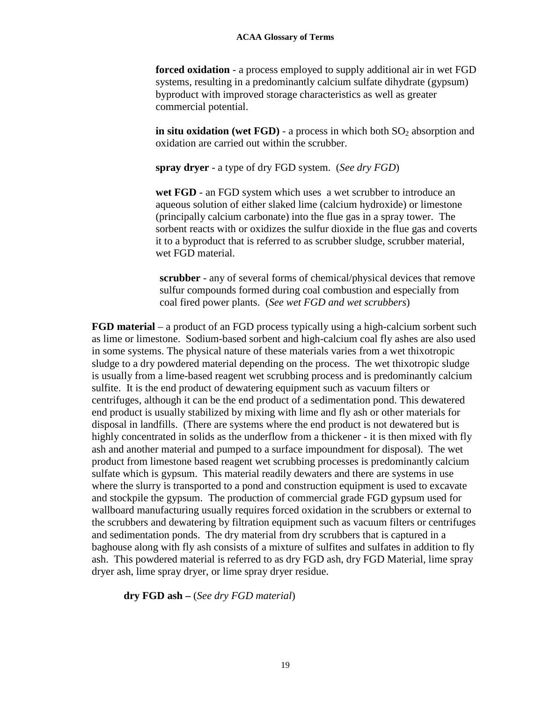**forced oxidation** *-* a process employed to supply additional air in wet FGD systems, resulting in a predominantly calcium sulfate dihydrate (gypsum) byproduct with improved storage characteristics as well as greater commercial potential.

**in situ oxidation (wet FGD)** - a process in which both  $SO_2$  absorption and oxidation are carried out within the scrubber.

**spray dryer** *-* a type of dry FGD system. (*See dry FGD*)

wet FGD - an FGD system which uses a wet scrubber to introduce an aqueous solution of either slaked lime (calcium hydroxide) or limestone (principally calcium carbonate) into the flue gas in a spray tower. The sorbent reacts with or oxidizes the sulfur dioxide in the flue gas and coverts it to a byproduct that is referred to as scrubber sludge, scrubber material, wet FGD material.

**scrubber** - any of several forms of chemical/physical devices that remove sulfur compounds formed during coal combustion and especially from coal fired power plants. (*See wet FGD and wet scrubbers*)

**FGD material** – a product of an FGD process typically using a high-calcium sorbent such as lime or limestone. Sodium-based sorbent and high-calcium coal fly ashes are also used in some systems. The physical nature of these materials varies from a wet thixotropic sludge to a dry powdered material depending on the process. The wet thixotropic sludge is usually from a lime-based reagent wet scrubbing process and is predominantly calcium sulfite. It is the end product of dewatering equipment such as vacuum filters or centrifuges, although it can be the end product of a sedimentation pond. This dewatered end product is usually stabilized by mixing with lime and fly ash or other materials for disposal in landfills. (There are systems where the end product is not dewatered but is highly concentrated in solids as the underflow from a thickener - it is then mixed with fly ash and another material and pumped to a surface impoundment for disposal). The wet product from limestone based reagent wet scrubbing processes is predominantly calcium sulfate which is gypsum. This material readily dewaters and there are systems in use where the slurry is transported to a pond and construction equipment is used to excavate and stockpile the gypsum. The production of commercial grade FGD gypsum used for wallboard manufacturing usually requires forced oxidation in the scrubbers or external to the scrubbers and dewatering by filtration equipment such as vacuum filters or centrifuges and sedimentation ponds. The dry material from dry scrubbers that is captured in a baghouse along with fly ash consists of a mixture of sulfites and sulfates in addition to fly ash. This powdered material is referred to as dry FGD ash, dry FGD Material, lime spray dryer ash, lime spray dryer, or lime spray dryer residue.

**dry FGD ash –** (*See dry FGD material*)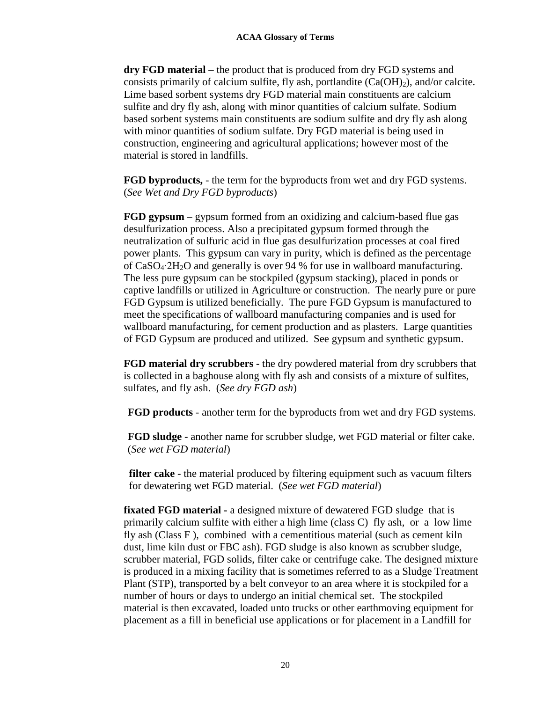**dry FGD material** – the product that is produced from dry FGD systems and consists primarily of calcium sulfite, fly ash, portlandite  $(Ca(OH<sub>2</sub>))$ , and/or calcite. Lime based sorbent systems dry FGD material main constituents are calcium sulfite and dry fly ash, along with minor quantities of calcium sulfate. Sodium based sorbent systems main constituents are sodium sulfite and dry fly ash along with minor quantities of sodium sulfate. Dry FGD material is being used in construction, engineering and agricultural applications; however most of the material is stored in landfills.

**FGD byproducts,** - the term for the byproducts from wet and dry FGD systems. (*See Wet and Dry FGD byproducts*)

**FGD gypsum** – gypsum formed from an oxidizing and calcium-based flue gas desulfurization process. Also a precipitated gypsum formed through the neutralization of sulfuric acid in flue gas desulfurization processes at coal fired power plants. This gypsum can vary in purity, which is defined as the percentage of CaSO4∙2H2O and generally is over 94 % for use in wallboard manufacturing. The less pure gypsum can be stockpiled (gypsum stacking), placed in ponds or captive landfills or utilized in Agriculture or construction. The nearly pure or pure FGD Gypsum is utilized beneficially. The pure FGD Gypsum is manufactured to meet the specifications of wallboard manufacturing companies and is used for wallboard manufacturing, for cement production and as plasters. Large quantities of FGD Gypsum are produced and utilized. See gypsum and synthetic gypsum.

**FGD material dry scrubbers -** the dry powdered material from dry scrubbers that is collected in a baghouse along with fly ash and consists of a mixture of sulfites, sulfates, and fly ash. (*See dry FGD ash*)

**FGD products** - another term for the byproducts from wet and dry FGD systems.

**FGD sludge** - another name for scrubber sludge, wet FGD material or filter cake. (*See wet FGD material*)

**filter cake** - the material produced by filtering equipment such as vacuum filters for dewatering wet FGD material. (*See wet FGD material*)

**fixated FGD material -** a designed mixture of dewatered FGD sludge that is primarily calcium sulfite with either a high lime (class C) fly ash, or a low lime fly ash (Class F ), combined with a cementitious material (such as cement kiln dust, lime kiln dust or FBC ash). FGD sludge is also known as scrubber sludge, scrubber material, FGD solids, filter cake or centrifuge cake. The designed mixture is produced in a mixing facility that is sometimes referred to as a Sludge Treatment Plant (STP), transported by a belt conveyor to an area where it is stockpiled for a number of hours or days to undergo an initial chemical set. The stockpiled material is then excavated, loaded unto trucks or other earthmoving equipment for placement as a fill in beneficial use applications or for placement in a Landfill for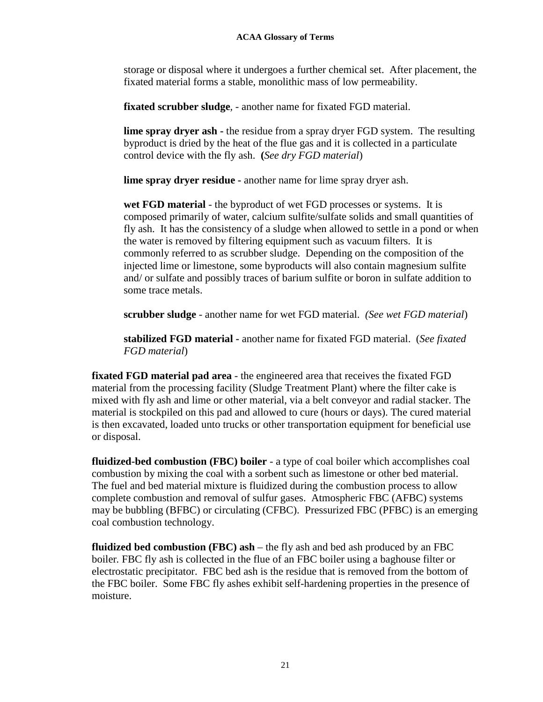storage or disposal where it undergoes a further chemical set. After placement, the fixated material forms a stable, monolithic mass of low permeability.

**fixated scrubber sludge***, -* another name for fixated FGD material.

**lime spray dryer ash -** the residue from a spray dryer FGD system. The resulting byproduct is dried by the heat of the flue gas and it is collected in a particulate control device with the fly ash. **(***See dry FGD material*)

**lime spray dryer residue -** another name for lime spray dryer ash.

**wet FGD material** *-* the byproduct of wet FGD processes or systems. It is composed primarily of water, calcium sulfite/sulfate solids and small quantities of fly ash. It has the consistency of a sludge when allowed to settle in a pond or when the water is removed by filtering equipment such as vacuum filters. It is commonly referred to as scrubber sludge. Depending on the composition of the injected lime or limestone, some byproducts will also contain magnesium sulfite and/ or sulfate and possibly traces of barium sulfite or boron in sulfate addition to some trace metals.

**scrubber sludge** - another name for wet FGD material. *(See wet FGD material*)

**stabilized FGD material -** another name for fixated FGD material. (*See fixated FGD material*)

**fixated FGD material pad area** - the engineered area that receives the fixated FGD material from the processing facility (Sludge Treatment Plant) where the filter cake is mixed with fly ash and lime or other material, via a belt conveyor and radial stacker. The material is stockpiled on this pad and allowed to cure (hours or days). The cured material is then excavated, loaded unto trucks or other transportation equipment for beneficial use or disposal.

**fluidized-bed combustion (FBC) boiler** - a type of coal boiler which accomplishes coal combustion by mixing the coal with a sorbent such as limestone or other bed material. The fuel and bed material mixture is fluidized during the combustion process to allow complete combustion and removal of sulfur gases. Atmospheric FBC (AFBC) systems may be bubbling (BFBC) or circulating (CFBC). Pressurized FBC (PFBC) is an emerging coal combustion technology.

**fluidized bed combustion (FBC) ash** *–* the fly ash and bed ash produced by an FBC boiler*.* FBC fly ash is collected in the flue of an FBC boiler using a baghouse filter or electrostatic precipitator. FBC bed ash is the residue that is removed from the bottom of the FBC boiler. Some FBC fly ashes exhibit self-hardening properties in the presence of moisture.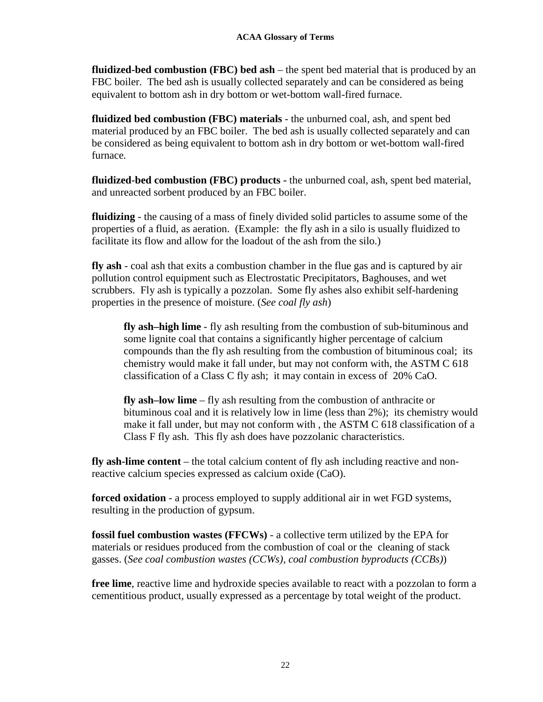**fluidized-bed combustion (FBC) bed ash** – the spent bed material that is produced by an FBC boiler. The bed ash is usually collected separately and can be considered as being equivalent to bottom ash in dry bottom or wet-bottom wall-fired furnace.

**fluidized bed combustion (FBC) materials** - the unburned coal, ash, and spent bed material produced by an FBC boiler. The bed ash is usually collected separately and can be considered as being equivalent to bottom ash in dry bottom or wet-bottom wall-fired furnace*.*

**fluidized-bed combustion (FBC) products -** the unburned coal, ash, spent bed material, and unreacted sorbent produced by an FBC boiler.

**fluidizing** - the causing of a mass of finely divided solid particles to assume some of the properties of a fluid, as aeration. (Example: the fly ash in a silo is usually fluidized to facilitate its flow and allow for the loadout of the ash from the silo.)

**fly ash** - coal ash that exits a combustion chamber in the flue gas and is captured by air pollution control equipment such as Electrostatic Precipitators, Baghouses, and wet scrubbers. Fly ash is typically a pozzolan. Some fly ashes also exhibit self-hardening properties in the presence of moisture. (*See coal fly ash*)

**fly ash–high lime** - fly ash resulting from the combustion of sub-bituminous and some lignite coal that contains a significantly higher percentage of calcium compounds than the fly ash resulting from the combustion of bituminous coal; its chemistry would make it fall under, but may not conform with, the ASTM C 618 classification of a Class C fly ash; it may contain in excess of 20% CaO.

**fly ash–low lime** – fly ash resulting from the combustion of anthracite or bituminous coal and it is relatively low in lime (less than 2%); its chemistry would make it fall under, but may not conform with , the ASTM C 618 classification of a Class F fly ash. This fly ash does have pozzolanic characteristics.

**fly ash-lime content** – the total calcium content of fly ash including reactive and nonreactive calcium species expressed as calcium oxide (CaO).

**forced oxidation** - a process employed to supply additional air in wet FGD systems, resulting in the production of gypsum.

**fossil fuel combustion wastes (FFCWs)** - a collective term utilized by the EPA for materials or residues produced from the combustion of coal or the cleaning of stack gasses. (*See coal combustion wastes (CCWs), coal combustion byproducts (CCBs)*)

**free lime**, reactive lime and hydroxide species available to react with a pozzolan to form a cementitious product, usually expressed as a percentage by total weight of the product.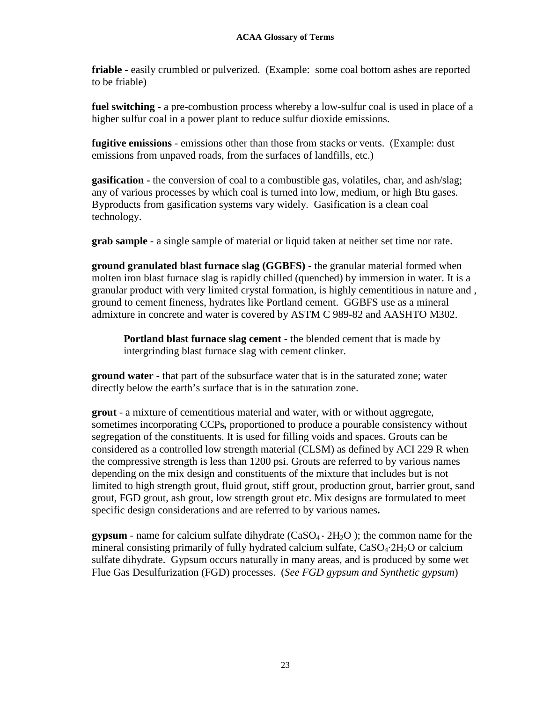**friable -** easily crumbled or pulverized. (Example: some coal bottom ashes are reported to be friable)

**fuel switching -** a pre-combustion process whereby a low-sulfur coal is used in place of a higher sulfur coal in a power plant to reduce sulfur dioxide emissions.

**fugitive emissions** - emissions other than those from stacks or vents. (Example: dust emissions from unpaved roads, from the surfaces of landfills, etc.)

**gasification -** the conversion of coal to a combustible gas, volatiles, char, and ash/slag; any of various processes by which coal is turned into low, medium, or high Btu gases. Byproducts from gasification systems vary widely. Gasification is a clean coal technology.

**grab sample** - a single sample of material or liquid taken at neither set time nor rate.

**ground granulated blast furnace slag (GGBFS)** - the granular material formed when molten iron blast furnace slag is rapidly chilled (quenched) by immersion in water. It is a granular product with very limited crystal formation, is highly cementitious in nature and , ground to cement fineness, hydrates like Portland cement. GGBFS use as a mineral admixture in concrete and water is covered by ASTM C 989-82 and AASHTO M302.

**Portland blast furnace slag cement** - the blended cement that is made by intergrinding blast furnace slag with cement clinker.

**ground water** - that part of the subsurface water that is in the saturated zone; water directly below the earth's surface that is in the saturation zone.

**grout** - a mixture of cementitious material and water, with or without aggregate, sometimes incorporating CCPs*,* proportioned to produce a pourable consistency without segregation of the constituents. It is used for filling voids and spaces. Grouts can be considered as a controlled low strength material (CLSM) as defined by ACI 229 R when the compressive strength is less than 1200 psi. Grouts are referred to by various names depending on the mix design and constituents of the mixture that includes but is not limited to high strength grout, fluid grout, stiff grout, production grout, barrier grout, sand grout, FGD grout, ash grout, low strength grout etc. Mix designs are formulated to meet specific design considerations and are referred to by various names**.**

**gypsum** - name for calcium sulfate dihydrate  $(CaSO_4 \cdot 2H_2O)$ ; the common name for the mineral consisting primarily of fully hydrated calcium sulfate, CaSO4∙2H2O or calcium sulfate dihydrate. Gypsum occurs naturally in many areas, and is produced by some wet Flue Gas Desulfurization (FGD) processes. (*See FGD gypsum and Synthetic gypsum*)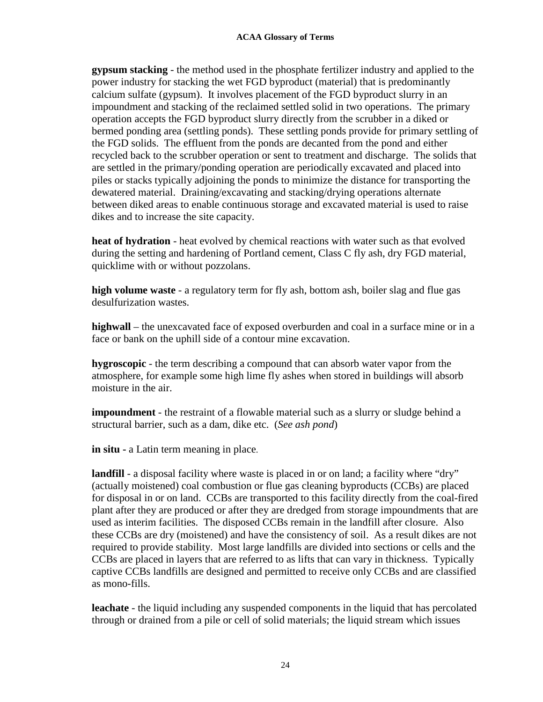**gypsum stacking** - the method used in the phosphate fertilizer industry and applied to the power industry for stacking the wet FGD byproduct (material) that is predominantly calcium sulfate (gypsum). It involves placement of the FGD byproduct slurry in an impoundment and stacking of the reclaimed settled solid in two operations. The primary operation accepts the FGD byproduct slurry directly from the scrubber in a diked or bermed ponding area (settling ponds). These settling ponds provide for primary settling of the FGD solids. The effluent from the ponds are decanted from the pond and either recycled back to the scrubber operation or sent to treatment and discharge. The solids that are settled in the primary/ponding operation are periodically excavated and placed into piles or stacks typically adjoining the ponds to minimize the distance for transporting the dewatered material. Draining/excavating and stacking/drying operations alternate between diked areas to enable continuous storage and excavated material is used to raise dikes and to increase the site capacity.

**heat of hydration** - heat evolved by chemical reactions with water such as that evolved during the setting and hardening of Portland cement, Class C fly ash, dry FGD material, quicklime with or without pozzolans.

**high volume waste** - a regulatory term for fly ash, bottom ash, boiler slag and flue gas desulfurization wastes.

**highwall** – the unexcavated face of exposed overburden and coal in a surface mine or in a face or bank on the uphill side of a contour mine excavation.

**hygroscopic** - the term describing a compound that can absorb water vapor from the atmosphere, for example some high lime fly ashes when stored in buildings will absorb moisture in the air.

**impoundment** - the restraint of a flowable material such as a slurry or sludge behind a structural barrier, such as a dam, dike etc. (*See ash pond*)

**in situ -** a Latin term meaning in place.

**landfill** - a disposal facility where waste is placed in or on land; a facility where "dry" (actually moistened) coal combustion or flue gas cleaning byproducts (CCBs) are placed for disposal in or on land. CCBs are transported to this facility directly from the coal-fired plant after they are produced or after they are dredged from storage impoundments that are used as interim facilities. The disposed CCBs remain in the landfill after closure. Also these CCBs are dry (moistened) and have the consistency of soil. As a result dikes are not required to provide stability. Most large landfills are divided into sections or cells and the CCBs are placed in layers that are referred to as lifts that can vary in thickness. Typically captive CCBs landfills are designed and permitted to receive only CCBs and are classified as mono-fills.

**leachate** - the liquid including any suspended components in the liquid that has percolated through or drained from a pile or cell of solid materials; the liquid stream which issues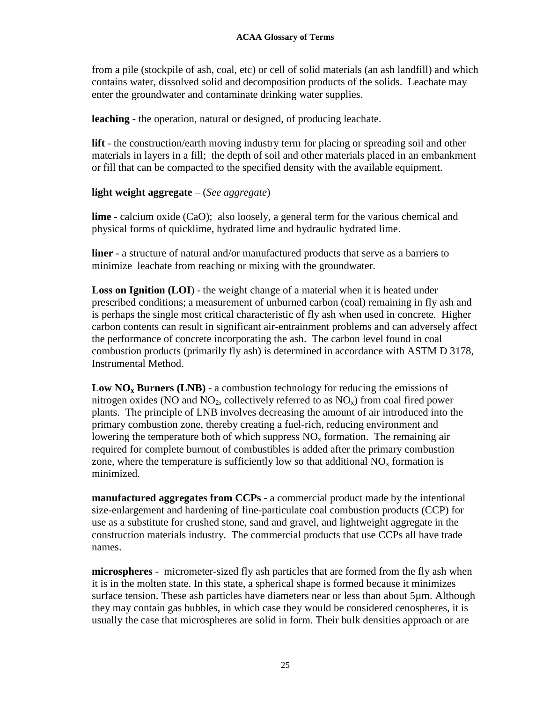from a pile (stockpile of ash, coal, etc) or cell of solid materials (an ash landfill) and which contains water, dissolved solid and decomposition products of the solids. Leachate may enter the groundwater and contaminate drinking water supplies.

**leaching** - the operation, natural or designed, of producing leachate.

**lift** - the construction/earth moving industry term for placing or spreading soil and other materials in layers in a fill; the depth of soil and other materials placed in an embankment or fill that can be compacted to the specified density with the available equipment.

### **light weight aggregate** – (*See aggregate*)

**lime** - calcium oxide (CaO); also loosely, a general term for the various chemical and physical forms of quicklime, hydrated lime and hydraulic hydrated lime.

**liner** - a structure of natural and/or manufactured products that serve as a barriers to minimize leachate from reaching or mixing with the groundwater.

**Loss on Ignition (LOI)** - the weight change of a material when it is heated under prescribed conditions; a measurement of unburned carbon (coal) remaining in fly ash and is perhaps the single most critical characteristic of fly ash when used in concrete. Higher carbon contents can result in significant air-entrainment problems and can adversely affect the performance of concrete incorporating the ash. The carbon level found in coal combustion products (primarily fly ash) is determined in accordance with ASTM D 3178, Instrumental Method.

**Low NO<sub>x</sub> Burners (LNB)** - a combustion technology for reducing the emissions of nitrogen oxides (NO and NO<sub>2</sub>, collectively referred to as  $NO_x$ ) from coal fired power plants. The principle of LNB involves decreasing the amount of air introduced into the primary combustion zone, thereby creating a fuel-rich, reducing environment and lowering the temperature both of which suppress  $NO<sub>x</sub>$  formation. The remaining air required for complete burnout of combustibles is added after the primary combustion zone, where the temperature is sufficiently low so that additional  $NO<sub>x</sub>$  formation is minimized.

**manufactured aggregates from CCPs** - a commercial product made by the intentional size-enlargement and hardening of fine-particulate coal combustion products (CCP) for use as a substitute for crushed stone, sand and gravel, and lightweight aggregate in the construction materials industry. The commercial products that use CCPs all have trade names.

**microspheres** - micrometer-sized fly ash particles that are formed from the fly ash when it is in the molten state. In this state, a spherical shape is formed because it minimizes surface tension. These ash particles have diameters near or less than about 5µm. Although they may contain gas bubbles, in which case they would be considered cenospheres, it is usually the case that microspheres are solid in form. Their bulk densities approach or are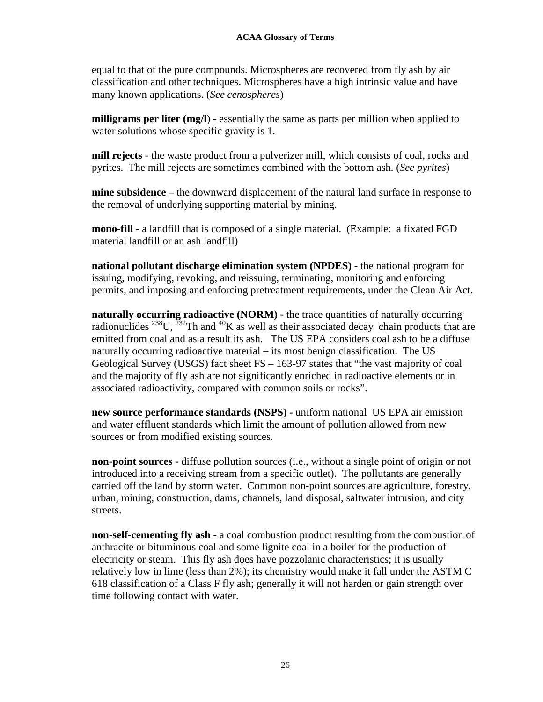equal to that of the pure compounds. Microspheres are recovered from fly ash by air classification and other techniques. Microspheres have a high intrinsic value and have many known applications. (*See cenospheres*)

**milligrams per liter (mg/l**) - essentially the same as parts per million when applied to water solutions whose specific gravity is 1.

**mill rejects** - the waste product from a pulverizer mill, which consists of coal, rocks and pyrites. The mill rejects are sometimes combined with the bottom ash. (*See pyrites*)

**mine subsidence** – the downward displacement of the natural land surface in response to the removal of underlying supporting material by mining.

**mono-fill** - a landfill that is composed of a single material. (Example: a fixated FGD material landfill or an ash landfill)

**national pollutant discharge elimination system (NPDES)** - the national program for issuing, modifying, revoking, and reissuing, terminating, monitoring and enforcing permits, and imposing and enforcing pretreatment requirements, under the Clean Air Act.

**naturally occurring radioactive (NORM)** - the trace quantities of naturally occurring radionuclides <sup>238</sup>U, <sup>232</sup>Th and <sup>40</sup>K as well as their associated decay chain products that are emitted from coal and as a result its ash. The US EPA considers coal ash to be a diffuse naturally occurring radioactive material – its most benign classification. The US Geological Survey (USGS) fact sheet FS – 163-97 states that "the vast majority of coal and the majority of fly ash are not significantly enriched in radioactive elements or in associated radioactivity, compared with common soils or rocks".

**new source performance standards (NSPS) -** uniform national US EPA air emission and water effluent standards which limit the amount of pollution allowed from new sources or from modified existing sources.

**non-point sources -** diffuse pollution sources (i.e., without a single point of origin or not introduced into a receiving stream from a specific outlet). The pollutants are generally carried off the land by storm water. Common non-point sources are agriculture, forestry, urban, mining, construction, dams, channels, land disposal, saltwater intrusion, and city streets.

**non-self-cementing fly ash -** a coal combustion product resulting from the combustion of anthracite or bituminous coal and some lignite coal in a boiler for the production of electricity or steam. This fly ash does have pozzolanic characteristics; it is usually relatively low in lime (less than 2%); its chemistry would make it fall under the ASTM C 618 classification of a Class F fly ash; generally it will not harden or gain strength over time following contact with water.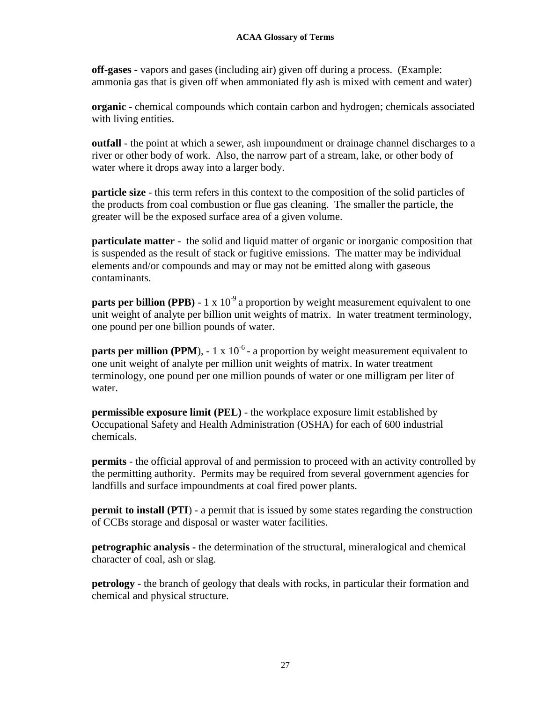**off-gases -** vapors and gases (including air) given off during a process. (Example: ammonia gas that is given off when ammoniated fly ash is mixed with cement and water)

**organic** - chemical compounds which contain carbon and hydrogen; chemicals associated with living entities.

**outfall** - the point at which a sewer, ash impoundment or drainage channel discharges to a river or other body of work. Also, the narrow part of a stream, lake, or other body of water where it drops away into a larger body.

**particle size** - this term refers in this context to the composition of the solid particles of the products from coal combustion or flue gas cleaning. The smaller the particle, the greater will be the exposed surface area of a given volume.

**particulate matter** - the solid and liquid matter of organic or inorganic composition that is suspended as the result of stack or fugitive emissions. The matter may be individual elements and/or compounds and may or may not be emitted along with gaseous contaminants.

**parts per billion (PPB)** - 1 x  $10^{-9}$  a proportion by weight measurement equivalent to one unit weight of analyte per billion unit weights of matrix. In water treatment terminology, one pound per one billion pounds of water.

**parts per million (PPM),**  $-1 \times 10^{-6}$  - a proportion by weight measurement equivalent to one unit weight of analyte per million unit weights of matrix. In water treatment terminology, one pound per one million pounds of water or one milligram per liter of water.

**permissible exposure limit (PEL)** - the workplace exposure limit established by Occupational Safety and Health Administration (OSHA) for each of 600 industrial chemicals.

**permits** - the official approval of and permission to proceed with an activity controlled by the permitting authority. Permits may be required from several government agencies for landfills and surface impoundments at coal fired power plants.

**permit to install (PTI)** - a permit that is issued by some states regarding the construction of CCBs storage and disposal or waster water facilities.

**petrographic analysis -** the determination of the structural, mineralogical and chemical character of coal, ash or slag.

**petrology** - the branch of geology that deals with rocks, in particular their formation and chemical and physical structure.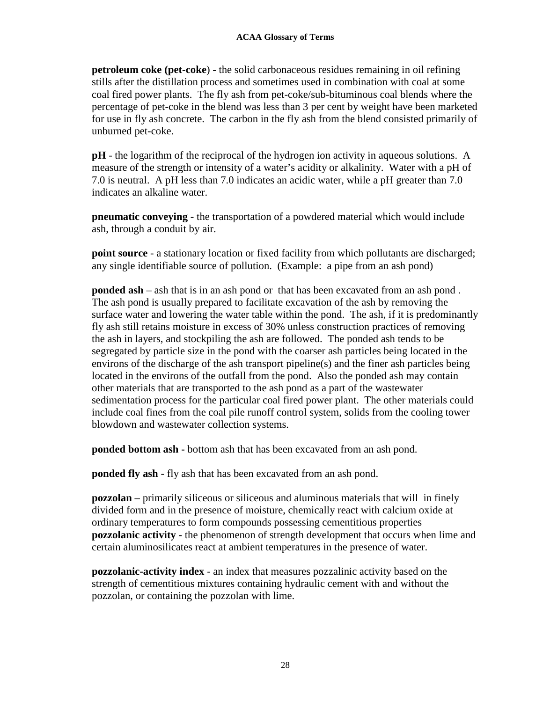**petroleum coke (pet-coke**) - the solid carbonaceous residues remaining in oil refining stills after the distillation process and sometimes used in combination with coal at some coal fired power plants. The fly ash from pet-coke/sub-bituminous coal blends where the percentage of pet-coke in the blend was less than 3 per cent by weight have been marketed for use in fly ash concrete. The carbon in the fly ash from the blend consisted primarily of unburned pet-coke.

**pH** - the logarithm of the reciprocal of the hydrogen ion activity in aqueous solutions. A measure of the strength or intensity of a water's acidity or alkalinity. Water with a pH of 7.0 is neutral. A pH less than 7.0 indicates an acidic water, while a pH greater than 7.0 indicates an alkaline water.

**pneumatic conveying** - the transportation of a powdered material which would include ash, through a conduit by air.

**point source** - a stationary location or fixed facility from which pollutants are discharged; any single identifiable source of pollution. (Example: a pipe from an ash pond)

**ponded ash** – ash that is in an ash pond or that has been excavated from an ash pond . The ash pond is usually prepared to facilitate excavation of the ash by removing the surface water and lowering the water table within the pond. The ash, if it is predominantly fly ash still retains moisture in excess of 30% unless construction practices of removing the ash in layers, and stockpiling the ash are followed. The ponded ash tends to be segregated by particle size in the pond with the coarser ash particles being located in the environs of the discharge of the ash transport pipeline(s) and the finer ash particles being located in the environs of the outfall from the pond. Also the ponded ash may contain other materials that are transported to the ash pond as a part of the wastewater sedimentation process for the particular coal fired power plant. The other materials could include coal fines from the coal pile runoff control system, solids from the cooling tower blowdown and wastewater collection systems.

**ponded bottom ash -** bottom ash that has been excavated from an ash pond.

**ponded fly ash** - fly ash that has been excavated from an ash pond.

**pozzolan** – primarily siliceous or siliceous and aluminous materials that will in finely divided form and in the presence of moisture, chemically react with calcium oxide at ordinary temperatures to form compounds possessing cementitious properties **pozzolanic activity -** the phenomenon of strength development that occurs when lime and certain aluminosilicates react at ambient temperatures in the presence of water.

**pozzolanic-activity index** - an index that measures pozzalinic activity based on the strength of cementitious mixtures containing hydraulic cement with and without the pozzolan, or containing the pozzolan with lime.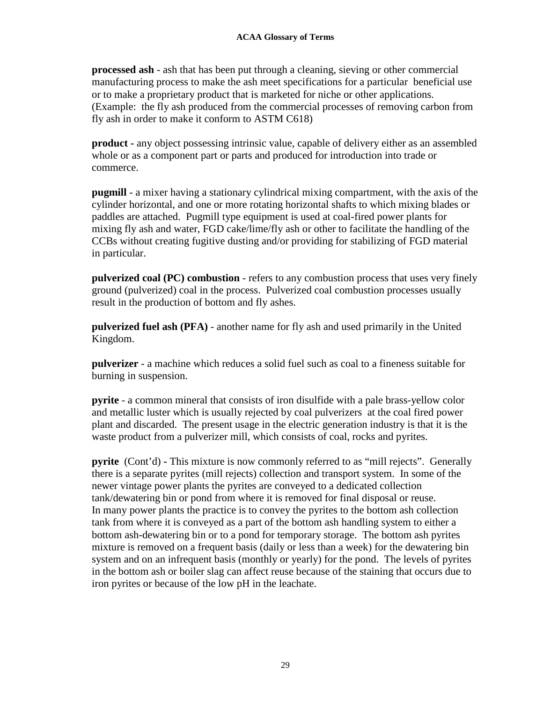**processed ash** - ash that has been put through a cleaning, sieving or other commercial manufacturing process to make the ash meet specifications for a particular beneficial use or to make a proprietary product that is marketed for niche or other applications. (Example: the fly ash produced from the commercial processes of removing carbon from fly ash in order to make it conform to ASTM C618)

**product -** any object possessing intrinsic value, capable of delivery either as an assembled whole or as a component part or parts and produced for introduction into trade or commerce.

**pugmill** - a mixer having a stationary cylindrical mixing compartment, with the axis of the cylinder horizontal, and one or more rotating horizontal shafts to which mixing blades or paddles are attached. Pugmill type equipment is used at coal-fired power plants for mixing fly ash and water, FGD cake/lime/fly ash or other to facilitate the handling of the CCBs without creating fugitive dusting and/or providing for stabilizing of FGD material in particular.

**pulverized coal (PC) combustion** - refers to any combustion process that uses very finely ground (pulverized) coal in the process. Pulverized coal combustion processes usually result in the production of bottom and fly ashes.

**pulverized fuel ash (PFA)** *-* another name for fly ash and used primarily in the United Kingdom.

**pulverizer** - a machine which reduces a solid fuel such as coal to a fineness suitable for burning in suspension.

**pyrite** - a common mineral that consists of iron disulfide with a pale brass-yellow color and metallic luster which is usually rejected by coal pulverizers at the coal fired power plant and discarded. The present usage in the electric generation industry is that it is the waste product from a pulverizer mill, which consists of coal, rocks and pyrites.

**pyrite** (Cont'd) **-** This mixture is now commonly referred to as "mill rejects". Generally there is a separate pyrites (mill rejects) collection and transport system. In some of the newer vintage power plants the pyrites are conveyed to a dedicated collection tank/dewatering bin or pond from where it is removed for final disposal or reuse. In many power plants the practice is to convey the pyrites to the bottom ash collection tank from where it is conveyed as a part of the bottom ash handling system to either a bottom ash-dewatering bin or to a pond for temporary storage. The bottom ash pyrites mixture is removed on a frequent basis (daily or less than a week) for the dewatering bin system and on an infrequent basis (monthly or yearly) for the pond. The levels of pyrites in the bottom ash or boiler slag can affect reuse because of the staining that occurs due to iron pyrites or because of the low pH in the leachate.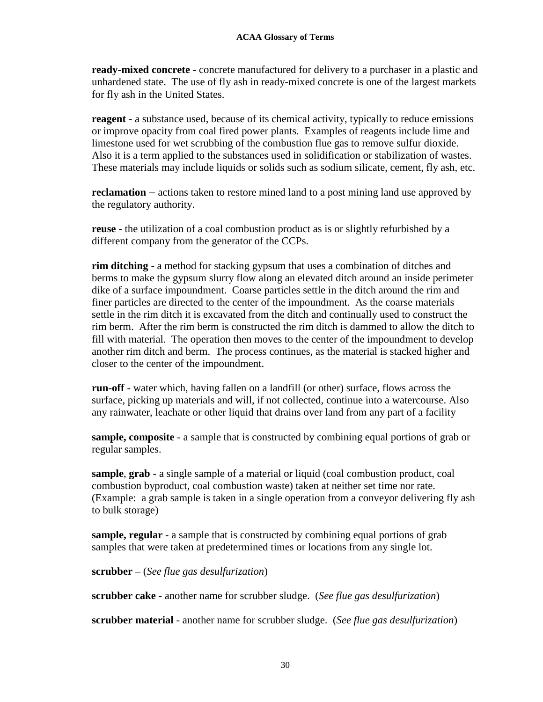**ready-mixed concrete** - concrete manufactured for delivery to a purchaser in a plastic and unhardened state. The use of fly ash in ready-mixed concrete is one of the largest markets for fly ash in the United States.

**reagent** - a substance used, because of its chemical activity, typically to reduce emissions or improve opacity from coal fired power plants. Examples of reagents include lime and limestone used for wet scrubbing of the combustion flue gas to remove sulfur dioxide. Also it is a term applied to the substances used in solidification or stabilization of wastes. These materials may include liquids or solids such as sodium silicate, cement, fly ash, etc.

**reclamation** *–* actions taken to restore mined land to a post mining land use approved by the regulatory authority.

**reuse** - the utilization of a coal combustion product as is or slightly refurbished by a different company from the generator of the CCPs.

**rim ditching** - a method for stacking gypsum that uses a combination of ditches and berms to make the gypsum slurry flow along an elevated ditch around an inside perimeter dike of a surface impoundment. Coarse particles settle in the ditch around the rim and finer particles are directed to the center of the impoundment. As the coarse materials settle in the rim ditch it is excavated from the ditch and continually used to construct the rim berm. After the rim berm is constructed the rim ditch is dammed to allow the ditch to fill with material. The operation then moves to the center of the impoundment to develop another rim ditch and berm. The process continues, as the material is stacked higher and closer to the center of the impoundment.

**run-off** - water which, having fallen on a landfill (or other) surface, flows across the surface, picking up materials and will, if not collected, continue into a watercourse. Also any rainwater, leachate or other liquid that drains over land from any part of a facility

**sample, composite** - a sample that is constructed by combining equal portions of grab or regular samples.

**sample**, **grab** - a single sample of a material or liquid (coal combustion product, coal combustion byproduct, coal combustion waste) taken at neither set time nor rate. (Example: a grab sample is taken in a single operation from a conveyor delivering fly ash to bulk storage)

**sample, regular** - a sample that is constructed by combining equal portions of grab samples that were taken at predetermined times or locations from any single lot.

**scrubber** – (*See flue gas desulfurization*)

**scrubber cake** - another name for scrubber sludge. (*See flue gas desulfurization*)

**scrubber material** - another name for scrubber sludge. (*See flue gas desulfurization*)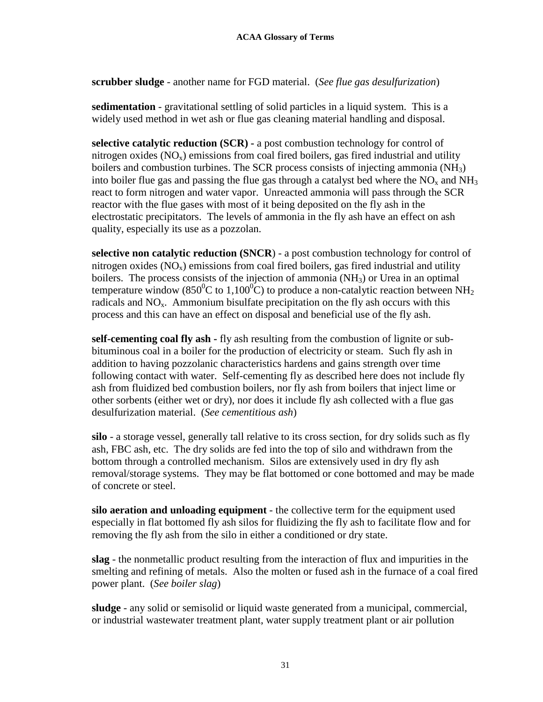**scrubber sludge** - another name for FGD material. (*See flue gas desulfurization*)

**sedimentation** - gravitational settling of solid particles in a liquid system. This is a widely used method in wet ash or flue gas cleaning material handling and disposal.

**selective catalytic reduction (SCR) -** a post combustion technology for control of nitrogen oxides  $(NO_x)$  emissions from coal fired boilers, gas fired industrial and utility boilers and combustion turbines. The SCR process consists of injecting ammonia (NH<sub>3</sub>) into boiler flue gas and passing the flue gas through a catalyst bed where the  $NO<sub>x</sub>$  and  $NH<sub>3</sub>$ react to form nitrogen and water vapor. Unreacted ammonia will pass through the SCR reactor with the flue gases with most of it being deposited on the fly ash in the electrostatic precipitators. The levels of ammonia in the fly ash have an effect on ash quality, especially its use as a pozzolan.

**selective non catalytic reduction (SNCR**) - a post combustion technology for control of nitrogen oxides  $(NO_x)$  emissions from coal fired boilers, gas fired industrial and utility boilers. The process consists of the injection of ammonia  $(NH<sub>3</sub>)$  or Urea in an optimal temperature window (850<sup>°</sup>C to 1,100<sup>°</sup>C) to produce a non-catalytic reaction between NH<sub>2</sub> radicals and  $NO<sub>x</sub>$ . Ammonium bisulfate precipitation on the fly ash occurs with this process and this can have an effect on disposal and beneficial use of the fly ash.

**self-cementing coal fly ash -** fly ash resulting from the combustion of lignite or subbituminous coal in a boiler for the production of electricity or steam. Such fly ash in addition to having pozzolanic characteristics hardens and gains strength over time following contact with water. Self-cementing fly as described here does not include fly ash from fluidized bed combustion boilers, nor fly ash from boilers that inject lime or other sorbents (either wet or dry), nor does it include fly ash collected with a flue gas desulfurization material. (*See cementitious ash*)

**silo** - a storage vessel, generally tall relative to its cross section, for dry solids such as fly ash, FBC ash, etc. The dry solids are fed into the top of silo and withdrawn from the bottom through a controlled mechanism. Silos are extensively used in dry fly ash removal/storage systems. They may be flat bottomed or cone bottomed and may be made of concrete or steel.

**silo aeration and unloading equipment** - the collective term for the equipment used especially in flat bottomed fly ash silos for fluidizing the fly ash to facilitate flow and for removing the fly ash from the silo in either a conditioned or dry state.

**slag** - the nonmetallic product resulting from the interaction of flux and impurities in the smelting and refining of metals. Also the molten or fused ash in the furnace of a coal fired power plant. (*See boiler slag*)

**sludge** - any solid or semisolid or liquid waste generated from a municipal, commercial, or industrial wastewater treatment plant, water supply treatment plant or air pollution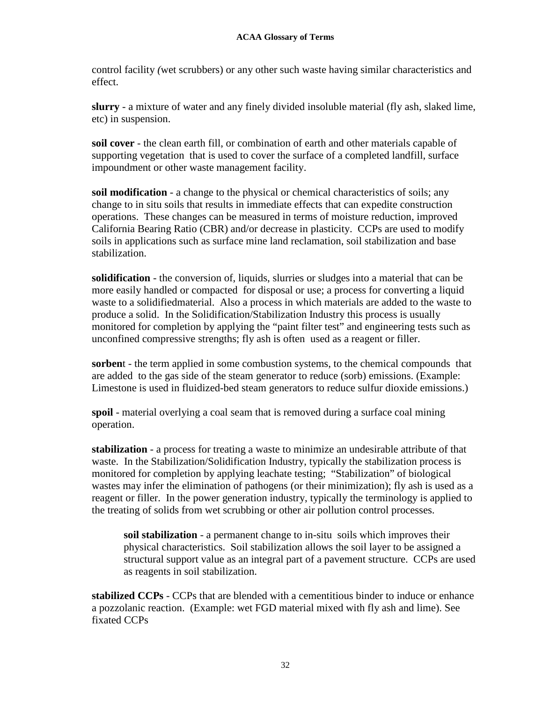control facility *(*wet scrubbers) or any other such waste having similar characteristics and effect.

**slurry** - a mixture of water and any finely divided insoluble material (fly ash, slaked lime, etc) in suspension.

**soil cover** - the clean earth fill, or combination of earth and other materials capable of supporting vegetation that is used to cover the surface of a completed landfill, surface impoundment or other waste management facility.

**soil modification** - a change to the physical or chemical characteristics of soils; any change to in situ soils that results in immediate effects that can expedite construction operations. These changes can be measured in terms of moisture reduction, improved California Bearing Ratio (CBR) and/or decrease in plasticity. CCPs are used to modify soils in applications such as surface mine land reclamation, soil stabilization and base stabilization.

**solidification** - the conversion of, liquids, slurries or sludges into a material that can be more easily handled or compacted for disposal or use; a process for converting a liquid waste to a solidifiedmaterial. Also a process in which materials are added to the waste to produce a solid. In the Solidification/Stabilization Industry this process is usually monitored for completion by applying the "paint filter test" and engineering tests such as unconfined compressive strengths; fly ash is often used as a reagent or filler.

**sorben**t - the term applied in some combustion systems, to the chemical compounds that are added to the gas side of the steam generator to reduce (sorb) emissions. (Example: Limestone is used in fluidized-bed steam generators to reduce sulfur dioxide emissions.)

**spoil** - material overlying a coal seam that is removed during a surface coal mining operation.

**stabilization** - a process for treating a waste to minimize an undesirable attribute of that waste. In the Stabilization/Solidification Industry, typically the stabilization process is monitored for completion by applying leachate testing; "Stabilization" of biological wastes may infer the elimination of pathogens (or their minimization); fly ash is used as a reagent or filler. In the power generation industry, typically the terminology is applied to the treating of solids from wet scrubbing or other air pollution control processes.

**soil stabilization** - a permanent change to in-situ soils which improves their physical characteristics. Soil stabilization allows the soil layer to be assigned a structural support value as an integral part of a pavement structure. CCPs are used as reagents in soil stabilization.

**stabilized CCPs** - CCPs that are blended with a cementitious binder to induce or enhance a pozzolanic reaction. (Example: wet FGD material mixed with fly ash and lime). See fixated CCPs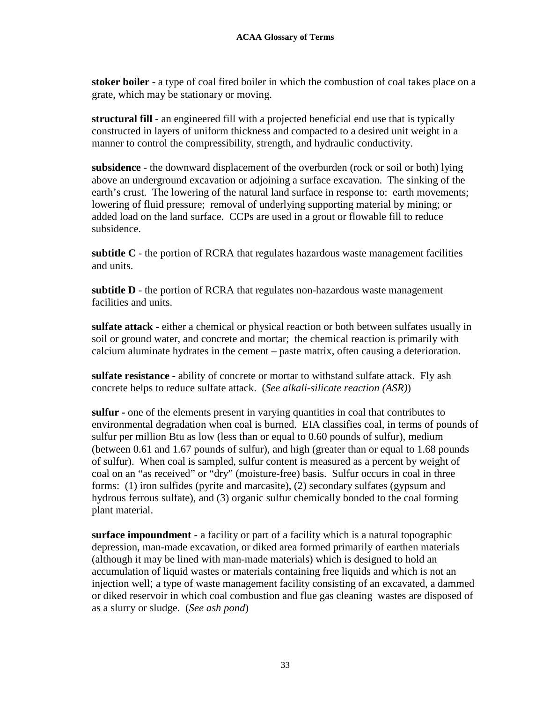**stoker boiler -** a type of coal fired boiler in which the combustion of coal takes place on a grate, which may be stationary or moving.

**structural fill** - an engineered fill with a projected beneficial end use that is typically constructed in layers of uniform thickness and compacted to a desired unit weight in a manner to control the compressibility, strength, and hydraulic conductivity.

**subsidence** - the downward displacement of the overburden (rock or soil or both) lying above an underground excavation or adjoining a surface excavation. The sinking of the earth's crust. The lowering of the natural land surface in response to: earth movements; lowering of fluid pressure; removal of underlying supporting material by mining; or added load on the land surface. CCPs are used in a grout or flowable fill to reduce subsidence.

**subtitle C** - the portion of RCRA that regulates hazardous waste management facilities and units.

**subtitle D** - the portion of RCRA that regulates non-hazardous waste management facilities and units.

**sulfate attack -** either a chemical or physical reaction or both between sulfates usually in soil or ground water, and concrete and mortar; the chemical reaction is primarily with calcium aluminate hydrates in the cement – paste matrix, often causing a deterioration.

**sulfate resistance** - ability of concrete or mortar to withstand sulfate attack. Fly ash concrete helps to reduce sulfate attack. (*See alkali-silicate reaction (ASR)*)

**sulfur -** one of the elements present in varying quantities in coal that contributes to environmental degradation when coal is burned. EIA classifies coal, in terms of pounds of sulfur per million Btu as low (less than or equal to 0.60 pounds of sulfur), medium (between 0.61 and 1.67 pounds of sulfur), and high (greater than or equal to 1.68 pounds of sulfur). When coal is sampled, sulfur content is measured as a percent by weight of coal on an "as received" or "dry" (moisture-free) basis. Sulfur occurs in coal in three forms: (1) iron sulfides (pyrite and marcasite), (2) secondary sulfates (gypsum and hydrous ferrous sulfate), and (3) organic sulfur chemically bonded to the coal forming plant material.

**surface impoundment -** a facility or part of a facility which is a natural topographic depression, man-made excavation, or diked area formed primarily of earthen materials (although it may be lined with man-made materials) which is designed to hold an accumulation of liquid wastes or materials containing free liquids and which is not an injection well; a type of waste management facility consisting of an excavated, a dammed or diked reservoir in which coal combustion and flue gas cleaning wastes are disposed of as a slurry or sludge. (*See ash pond*)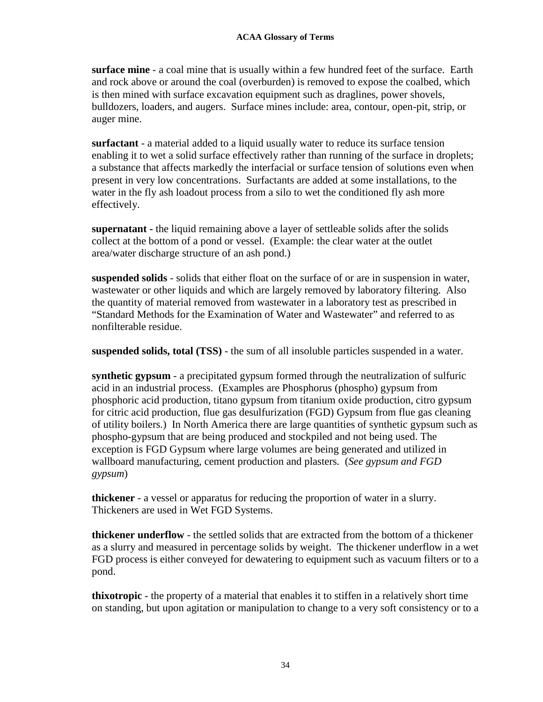**surface mine** - a coal mine that is usually within a few hundred feet of the surface. Earth and rock above or around the coal (overburden) is removed to expose the coalbed, which is then mined with surface excavation equipment such as draglines, power shovels, bulldozers, loaders, and augers. Surface mines include: area, contour, open-pit, strip, or auger mine.

**surfactant** - a material added to a liquid usually water to reduce its surface tension enabling it to wet a solid surface effectively rather than running of the surface in droplets; a substance that affects markedly the interfacial or surface tension of solutions even when present in very low concentrations. Surfactants are added at some installations, to the water in the fly ash loadout process from a silo to wet the conditioned fly ash more effectively.

**supernatant -** the liquid remaining above a layer of settleable solids after the solids collect at the bottom of a pond or vessel. (Example: the clear water at the outlet area/water discharge structure of an ash pond.)

**suspended solids** - solids that either float on the surface of or are in suspension in water, wastewater or other liquids and which are largely removed by laboratory filtering. Also the quantity of material removed from wastewater in a laboratory test as prescribed in "Standard Methods for the Examination of Water and Wastewater" and referred to as nonfilterable residue.

**suspended solids, total (TSS)** - the sum of all insoluble particles suspended in a water.

**synthetic gypsum** - a precipitated gypsum formed through the neutralization of sulfuric acid in an industrial process. (Examples are Phosphorus (phospho) gypsum from phosphoric acid production, titano gypsum from titanium oxide production, citro gypsum for citric acid production, flue gas desulfurization (FGD) Gypsum from flue gas cleaning of utility boilers.) In North America there are large quantities of synthetic gypsum such as phospho-gypsum that are being produced and stockpiled and not being used. The exception is FGD Gypsum where large volumes are being generated and utilized in wallboard manufacturing, cement production and plasters*.* (*See gypsum and FGD gypsum*)

**thickener** - a vessel or apparatus for reducing the proportion of water in a slurry. Thickeners are used in Wet FGD Systems.

**thickener underflow** - the settled solids that are extracted from the bottom of a thickener as a slurry and measured in percentage solids by weight. The thickener underflow in a wet FGD process is either conveyed for dewatering to equipment such as vacuum filters or to a pond.

**thixotropic** - the property of a material that enables it to stiffen in a relatively short time on standing, but upon agitation or manipulation to change to a very soft consistency or to a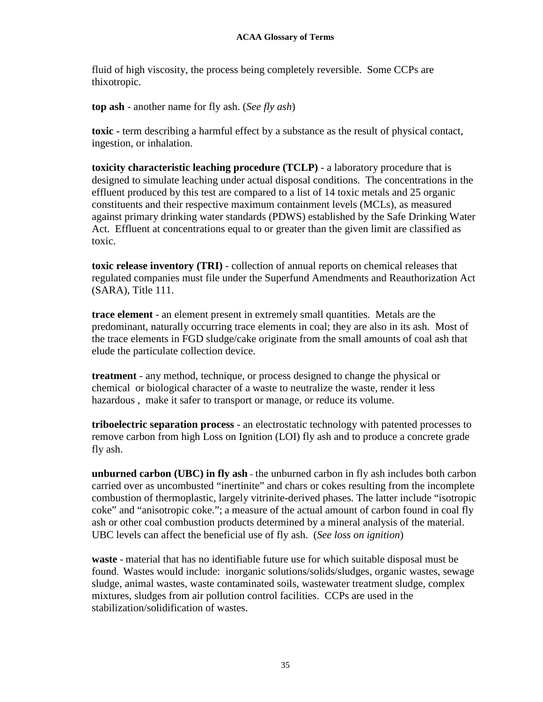fluid of high viscosity, the process being completely reversible. Some CCPs are thixotropic.

**top ash** - another name for fly ash. (*See fly ash*)

**toxic -** term describing a harmful effect by a substance as the result of physical contact, ingestion, or inhalation.

**toxicity characteristic leaching procedure (TCLP)** - a laboratory procedure that is designed to simulate leaching under actual disposal conditions. The concentrations in the effluent produced by this test are compared to a list of 14 toxic metals and 25 organic constituents and their respective maximum containment levels (MCLs), as measured against primary drinking water standards (PDWS) established by the Safe Drinking Water Act. Effluent at concentrations equal to or greater than the given limit are classified as toxic.

**toxic release inventory (TRI)** - collection of annual reports on chemical releases that regulated companies must file under the Superfund Amendments and Reauthorization Act (SARA), Title 111.

**trace element** - an element present in extremely small quantities. Metals are the predominant, naturally occurring trace elements in coal; they are also in its ash. Most of the trace elements in FGD sludge/cake originate from the small amounts of coal ash that elude the particulate collection device.

**treatment** - any method, technique, or process designed to change the physical or chemical or biological character of a waste to neutralize the waste, render it less hazardous , make it safer to transport or manage, or reduce its volume.

**triboelectric separation process** - an electrostatic technology with patented processes to remove carbon from high Loss on Ignition (LOI) fly ash and to produce a concrete grade fly ash.

**unburned carbon (UBC) in fly ash** - the unburned carbon in fly ash includes both carbon carried over as uncombusted "inertinite" and chars or cokes resulting from the incomplete combustion of thermoplastic, largely vitrinite-derived phases. The latter include "isotropic coke" and "anisotropic coke."; a measure of the actual amount of carbon found in coal fly ash or other coal combustion products determined by a mineral analysis of the material. UBC levels can affect the beneficial use of fly ash. (*See loss on ignition*)

**waste** - material that has no identifiable future use for which suitable disposal must be found. Wastes would include: inorganic solutions/solids/sludges, organic wastes, sewage sludge, animal wastes, waste contaminated soils, wastewater treatment sludge, complex mixtures, sludges from air pollution control facilities. CCPs are used in the stabilization/solidification of wastes.